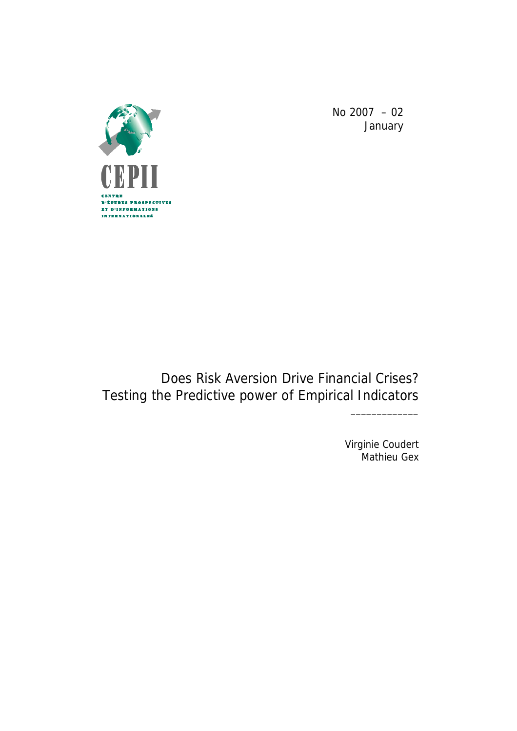

No 2007 – 02 January

# Does Risk Aversion Drive Financial Crises? Testing the Predictive power of Empirical Indicators

Virginie Coudert Mathieu Gex

\_\_\_\_\_\_\_\_\_\_\_\_\_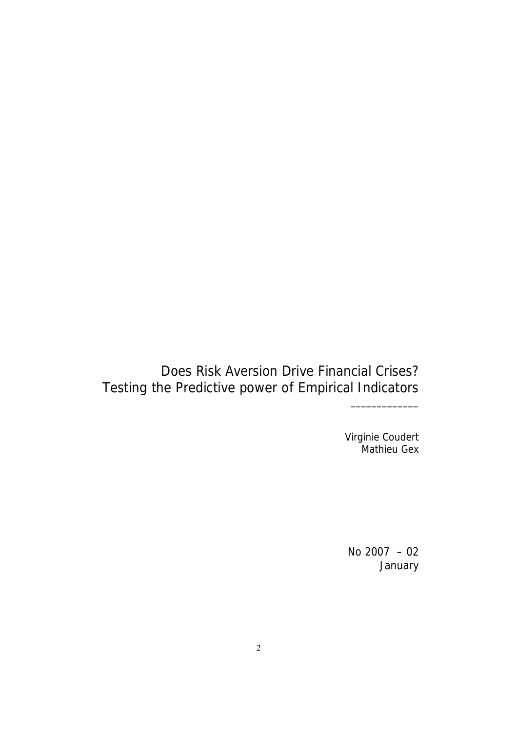Does Risk Aversion Drive Financial Crises? Testing the Predictive power of Empirical Indicators

> Virginie Coudert Mathieu Gex

\_\_\_\_\_\_\_\_\_\_\_\_\_

No 2007 – 02 January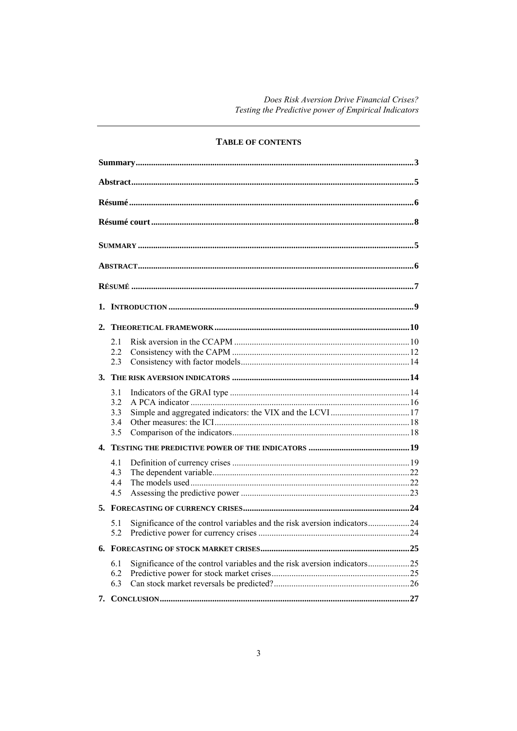| <b>TABLE OF CONTENTS</b> |  |
|--------------------------|--|
|--------------------------|--|

| 2. |                                 |                                                                          |  |
|----|---------------------------------|--------------------------------------------------------------------------|--|
|    | 2.1<br>2.2<br>2.3               |                                                                          |  |
| 3. |                                 |                                                                          |  |
|    | 3.1<br>3.2<br>3.3<br>3.4<br>3.5 |                                                                          |  |
|    |                                 |                                                                          |  |
|    | 4.1<br>4.3<br>4.4<br>4.5        |                                                                          |  |
|    |                                 |                                                                          |  |
|    | 5.1<br>5.2                      | Significance of the control variables and the risk aversion indicators24 |  |
|    |                                 |                                                                          |  |
|    | 6.1<br>6.2<br>6.3               | Significance of the control variables and the risk aversion indicators25 |  |
|    |                                 |                                                                          |  |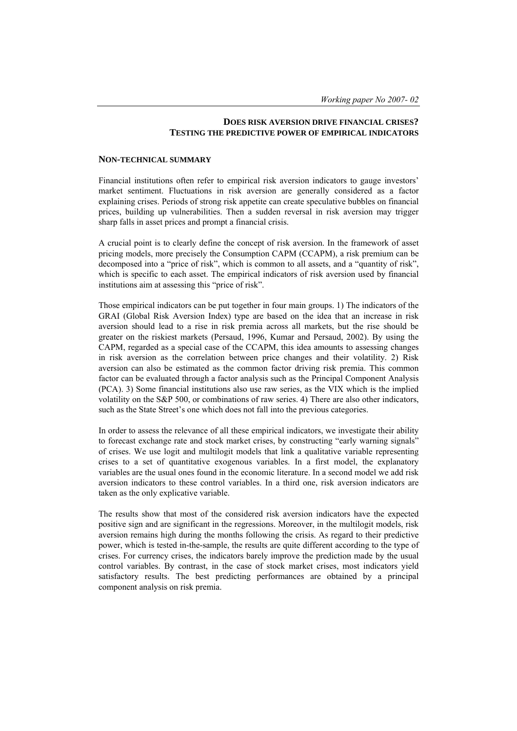## **DOES RISK AVERSION DRIVE FINANCIAL CRISES? TESTING THE PREDICTIVE POWER OF EMPIRICAL INDICATORS**

#### **NON-TECHNICAL SUMMARY**

Financial institutions often refer to empirical risk aversion indicators to gauge investors' market sentiment. Fluctuations in risk aversion are generally considered as a factor explaining crises. Periods of strong risk appetite can create speculative bubbles on financial prices, building up vulnerabilities. Then a sudden reversal in risk aversion may trigger sharp falls in asset prices and prompt a financial crisis.

A crucial point is to clearly define the concept of risk aversion. In the framework of asset pricing models, more precisely the Consumption CAPM (CCAPM), a risk premium can be decomposed into a "price of risk", which is common to all assets, and a "quantity of risk", which is specific to each asset. The empirical indicators of risk aversion used by financial institutions aim at assessing this "price of risk".

Those empirical indicators can be put together in four main groups. 1) The indicators of the GRAI (Global Risk Aversion Index) type are based on the idea that an increase in risk aversion should lead to a rise in risk premia across all markets, but the rise should be greater on the riskiest markets (Persaud, 1996, Kumar and Persaud, 2002). By using the CAPM, regarded as a special case of the CCAPM, this idea amounts to assessing changes in risk aversion as the correlation between price changes and their volatility. 2) Risk aversion can also be estimated as the common factor driving risk premia. This common factor can be evaluated through a factor analysis such as the Principal Component Analysis (PCA). 3) Some financial institutions also use raw series, as the VIX which is the implied volatility on the S&P 500, or combinations of raw series. 4) There are also other indicators, such as the State Street's one which does not fall into the previous categories.

In order to assess the relevance of all these empirical indicators, we investigate their ability to forecast exchange rate and stock market crises, by constructing "early warning signals" of crises. We use logit and multilogit models that link a qualitative variable representing crises to a set of quantitative exogenous variables. In a first model, the explanatory variables are the usual ones found in the economic literature. In a second model we add risk aversion indicators to these control variables. In a third one, risk aversion indicators are taken as the only explicative variable.

The results show that most of the considered risk aversion indicators have the expected positive sign and are significant in the regressions. Moreover, in the multilogit models, risk aversion remains high during the months following the crisis. As regard to their predictive power, which is tested in-the-sample, the results are quite different according to the type of crises. For currency crises, the indicators barely improve the prediction made by the usual control variables. By contrast, in the case of stock market crises, most indicators yield satisfactory results. The best predicting performances are obtained by a principal component analysis on risk premia.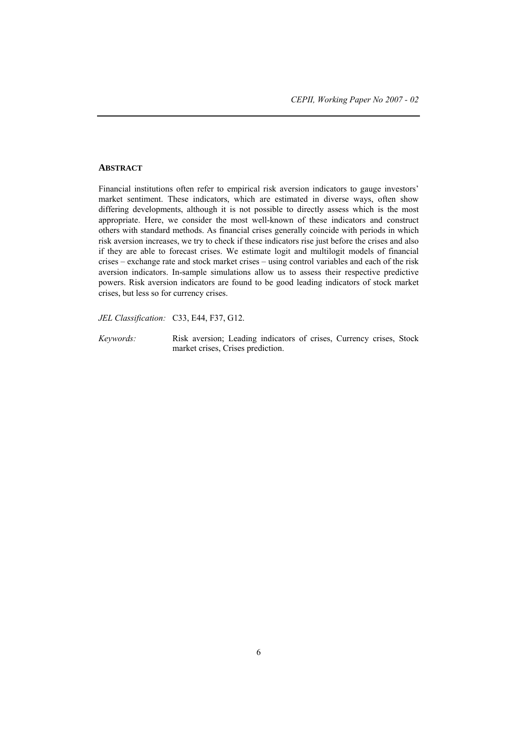## **ABSTRACT**

Financial institutions often refer to empirical risk aversion indicators to gauge investors' market sentiment. These indicators, which are estimated in diverse ways, often show differing developments, although it is not possible to directly assess which is the most appropriate. Here, we consider the most well-known of these indicators and construct others with standard methods. As financial crises generally coincide with periods in which risk aversion increases, we try to check if these indicators rise just before the crises and also if they are able to forecast crises. We estimate logit and multilogit models of financial crises – exchange rate and stock market crises – using control variables and each of the risk aversion indicators. In-sample simulations allow us to assess their respective predictive powers. Risk aversion indicators are found to be good leading indicators of stock market crises, but less so for currency crises.

*JEL Classification:* C33, E44, F37, G12.

*Keywords:* Risk aversion; Leading indicators of crises, Currency crises, Stock market crises, Crises prediction.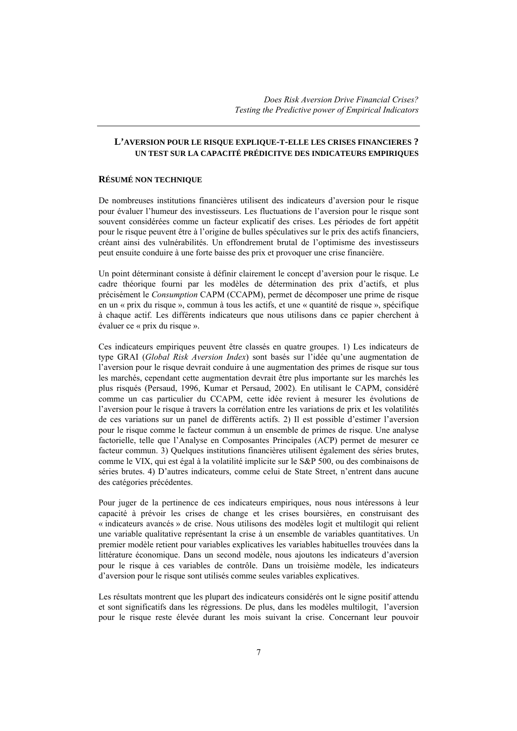## **L'AVERSION POUR LE RISQUE EXPLIQUE-T-ELLE LES CRISES FINANCIERES ? UN TEST SUR LA CAPACITÉ PRÉDICITVE DES INDICATEURS EMPIRIQUES**

#### **RÉSUMÉ NON TECHNIQUE**

De nombreuses institutions financières utilisent des indicateurs d'aversion pour le risque pour évaluer l'humeur des investisseurs. Les fluctuations de l'aversion pour le risque sont souvent considérées comme un facteur explicatif des crises. Les périodes de fort appétit pour le risque peuvent être à l'origine de bulles spéculatives sur le prix des actifs financiers, créant ainsi des vulnérabilités. Un effondrement brutal de l'optimisme des investisseurs peut ensuite conduire à une forte baisse des prix et provoquer une crise financière.

Un point déterminant consiste à définir clairement le concept d'aversion pour le risque. Le cadre théorique fourni par les modèles de détermination des prix d'actifs, et plus précisément le *Consumption* CAPM (CCAPM), permet de décomposer une prime de risque en un « prix du risque », commun à tous les actifs, et une « quantité de risque », spécifique à chaque actif. Les différents indicateurs que nous utilisons dans ce papier cherchent à évaluer ce « prix du risque ».

Ces indicateurs empiriques peuvent être classés en quatre groupes. 1) Les indicateurs de type GRAI (*Global Risk Aversion Index*) sont basés sur l'idée qu'une augmentation de l'aversion pour le risque devrait conduire à une augmentation des primes de risque sur tous les marchés, cependant cette augmentation devrait être plus importante sur les marchés les plus risqués (Persaud, 1996, Kumar et Persaud, 2002). En utilisant le CAPM, considéré comme un cas particulier du CCAPM, cette idée revient à mesurer les évolutions de l'aversion pour le risque à travers la corrélation entre les variations de prix et les volatilités de ces variations sur un panel de différents actifs. 2) Il est possible d'estimer l'aversion pour le risque comme le facteur commun à un ensemble de primes de risque. Une analyse factorielle, telle que l'Analyse en Composantes Principales (ACP) permet de mesurer ce facteur commun. 3) Quelques institutions financières utilisent également des séries brutes, comme le VIX, qui est égal à la volatilité implicite sur le S&P 500, ou des combinaisons de séries brutes. 4) D'autres indicateurs, comme celui de State Street, n'entrent dans aucune des catégories précédentes.

Pour juger de la pertinence de ces indicateurs empiriques, nous nous intéressons à leur capacité à prévoir les crises de change et les crises boursières, en construisant des « indicateurs avancés » de crise. Nous utilisons des modèles logit et multilogit qui relient une variable qualitative représentant la crise à un ensemble de variables quantitatives. Un premier modèle retient pour variables explicatives les variables habituelles trouvées dans la littérature économique. Dans un second modèle, nous ajoutons les indicateurs d'aversion pour le risque à ces variables de contrôle. Dans un troisième modèle, les indicateurs d'aversion pour le risque sont utilisés comme seules variables explicatives.

Les résultats montrent que les plupart des indicateurs considérés ont le signe positif attendu et sont significatifs dans les régressions. De plus, dans les modèles multilogit, l'aversion pour le risque reste élevée durant les mois suivant la crise. Concernant leur pouvoir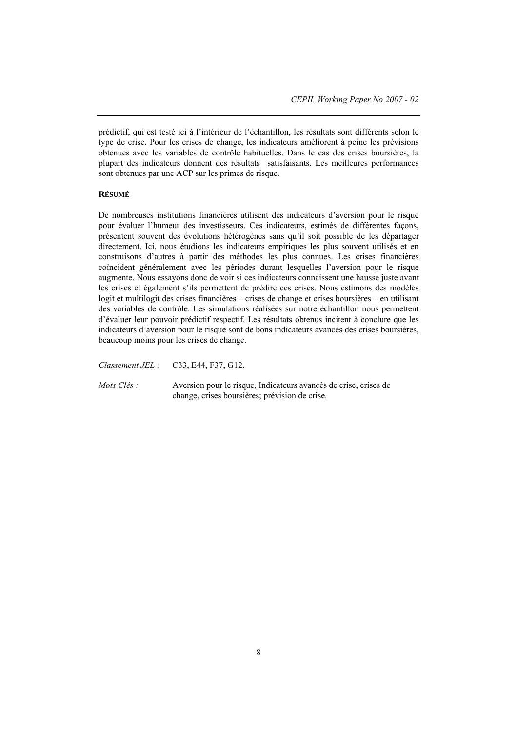prédictif, qui est testé ici à l'intérieur de l'échantillon, les résultats sont différents selon le type de crise. Pour les crises de change, les indicateurs améliorent à peine les prévisions obtenues avec les variables de contrôle habituelles. Dans le cas des crises boursières, la plupart des indicateurs donnent des résultats satisfaisants. Les meilleures performances sont obtenues par une ACP sur les primes de risque.

#### **RÉSUMÉ**

De nombreuses institutions financières utilisent des indicateurs d'aversion pour le risque pour évaluer l'humeur des investisseurs. Ces indicateurs, estimés de différentes façons, présentent souvent des évolutions hétérogènes sans qu'il soit possible de les départager directement. Ici, nous étudions les indicateurs empiriques les plus souvent utilisés et en construisons d'autres à partir des méthodes les plus connues. Les crises financières coïncident généralement avec les périodes durant lesquelles l'aversion pour le risque augmente. Nous essayons donc de voir si ces indicateurs connaissent une hausse juste avant les crises et également s'ils permettent de prédire ces crises. Nous estimons des modèles logit et multilogit des crises financières – crises de change et crises boursières – en utilisant des variables de contrôle. Les simulations réalisées sur notre échantillon nous permettent d'évaluer leur pouvoir prédictif respectif. Les résultats obtenus incitent à conclure que les indicateurs d'aversion pour le risque sont de bons indicateurs avancés des crises boursières, beaucoup moins pour les crises de change.

*Classement JEL :* C33, E44, F37, G12.

*Mots Clés :* Aversion pour le risque, Indicateurs avancés de crise, crises de change, crises boursières; prévision de crise.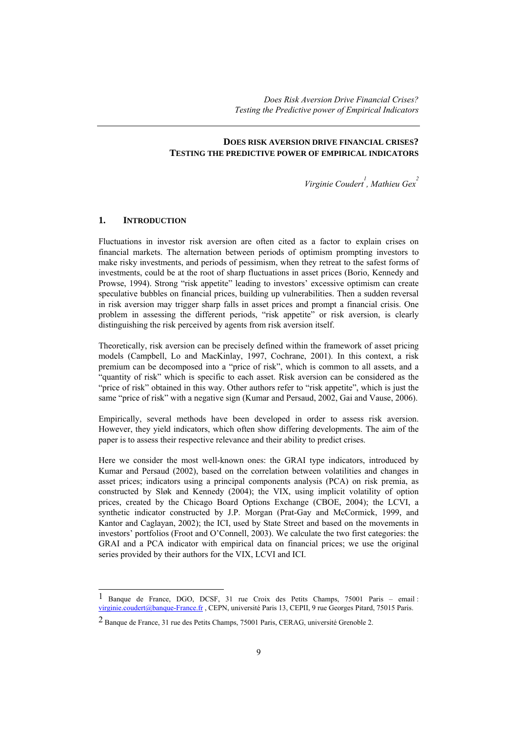## **DOES RISK AVERSION DRIVE FINANCIAL CRISES? TESTING THE PREDICTIVE POWER OF EMPIRICAL INDICATORS**

*Virginie Coudert<sup>1</sup>*, Mathieu Gex<sup>2</sup>

### **1. INTRODUCTION**

Fluctuations in investor risk aversion are often cited as a factor to explain crises on financial markets. The alternation between periods of optimism prompting investors to make risky investments, and periods of pessimism, when they retreat to the safest forms of investments, could be at the root of sharp fluctuations in asset prices (Borio, Kennedy and Prowse, 1994). Strong "risk appetite" leading to investors' excessive optimism can create speculative bubbles on financial prices, building up vulnerabilities. Then a sudden reversal in risk aversion may trigger sharp falls in asset prices and prompt a financial crisis. One problem in assessing the different periods, "risk appetite" or risk aversion, is clearly distinguishing the risk perceived by agents from risk aversion itself.

Theoretically, risk aversion can be precisely defined within the framework of asset pricing models (Campbell, Lo and MacKinlay, 1997, Cochrane, 2001). In this context, a risk premium can be decomposed into a "price of risk", which is common to all assets, and a "quantity of risk" which is specific to each asset. Risk aversion can be considered as the "price of risk" obtained in this way. Other authors refer to "risk appetite", which is just the same "price of risk" with a negative sign (Kumar and Persaud, 2002, Gai and Vause, 2006).

Empirically, several methods have been developed in order to assess risk aversion. However, they yield indicators, which often show differing developments. The aim of the paper is to assess their respective relevance and their ability to predict crises.

Here we consider the most well-known ones: the GRAI type indicators, introduced by Kumar and Persaud (2002), based on the correlation between volatilities and changes in asset prices; indicators using a principal components analysis (PCA) on risk premia, as constructed by Sløk and Kennedy (2004); the VIX, using implicit volatility of option prices, created by the Chicago Board Options Exchange (CBOE, 2004); the LCVI, a synthetic indicator constructed by J.P. Morgan (Prat-Gay and McCormick, 1999, and Kantor and Caglayan, 2002); the ICI, used by State Street and based on the movements in investors' portfolios (Froot and O'Connell, 2003). We calculate the two first categories: the GRAI and a PCA indicator with empirical data on financial prices; we use the original series provided by their authors for the VIX, LCVI and ICI.

 $\mathbf{1}$ 1 Banque de France, DGO, DCSF, 31 rue Croix des Petits Champs, 75001 Paris – email : virginie.coudert@banque-France.fr , CEPN, université Paris 13, CEPII, 9 rue Georges Pitard, 75015 Paris.

<sup>2</sup> Banque de France, 31 rue des Petits Champs, 75001 Paris, CERAG, université Grenoble 2.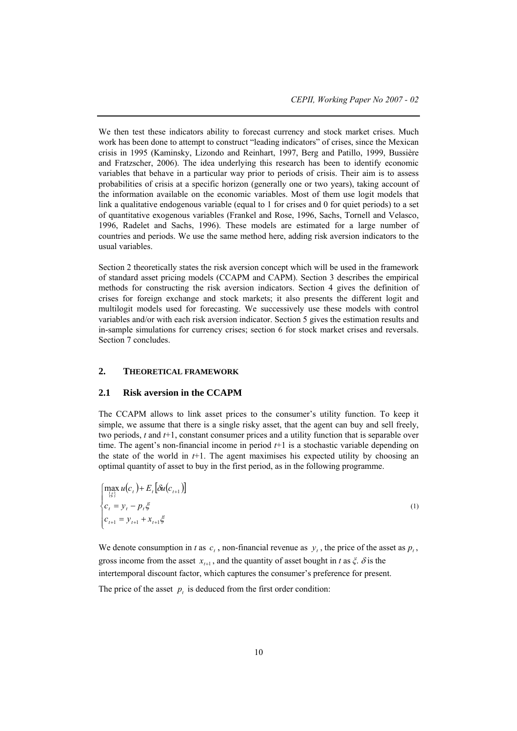We then test these indicators ability to forecast currency and stock market crises. Much work has been done to attempt to construct "leading indicators" of crises, since the Mexican crisis in 1995 (Kaminsky, Lizondo and Reinhart, 1997, Berg and Patillo, 1999, Bussière and Fratzscher, 2006). The idea underlying this research has been to identify economic variables that behave in a particular way prior to periods of crisis. Their aim is to assess probabilities of crisis at a specific horizon (generally one or two years), taking account of the information available on the economic variables. Most of them use logit models that link a qualitative endogenous variable (equal to 1 for crises and 0 for quiet periods) to a set of quantitative exogenous variables (Frankel and Rose, 1996, Sachs, Tornell and Velasco, 1996, Radelet and Sachs, 1996). These models are estimated for a large number of countries and periods. We use the same method here, adding risk aversion indicators to the usual variables.

Section 2 theoretically states the risk aversion concept which will be used in the framework of standard asset pricing models (CCAPM and CAPM). Section 3 describes the empirical methods for constructing the risk aversion indicators. Section 4 gives the definition of crises for foreign exchange and stock markets; it also presents the different logit and multilogit models used for forecasting. We successively use these models with control variables and/or with each risk aversion indicator. Section 5 gives the estimation results and in-sample simulations for currency crises; section 6 for stock market crises and reversals. Section 7 concludes.

## **2. THEORETICAL FRAMEWORK**

#### **2.1 Risk aversion in the CCAPM**

The CCAPM allows to link asset prices to the consumer's utility function. To keep it simple, we assume that there is a single risky asset, that the agent can buy and sell freely, two periods, *t* and *t*+1, constant consumer prices and a utility function that is separable over time. The agent's non-financial income in period *t*+1 is a stochastic variable depending on the state of the world in *t*+1. The agent maximises his expected utility by choosing an optimal quantity of asset to buy in the first period, as in the following programme.

$$
\begin{cases}\n\max_{\{\xi\}} u(c_t) + E_t[\delta u(c_{t+1})] \\
c_t = y_t - p_t \xi \\
c_{t+1} = y_{t+1} + x_{t+1} \xi\n\end{cases}
$$
\n(1)

We denote consumption in *t* as  $c_t$ , non-financial revenue as  $y_t$ , the price of the asset as  $p_t$ , gross income from the asset  $x_{t+1}$ , and the quantity of asset bought in *t* as  $\xi$ .  $\delta$  is the intertemporal discount factor, which captures the consumer's preference for present.

The price of the asset  $p_t$  is deduced from the first order condition: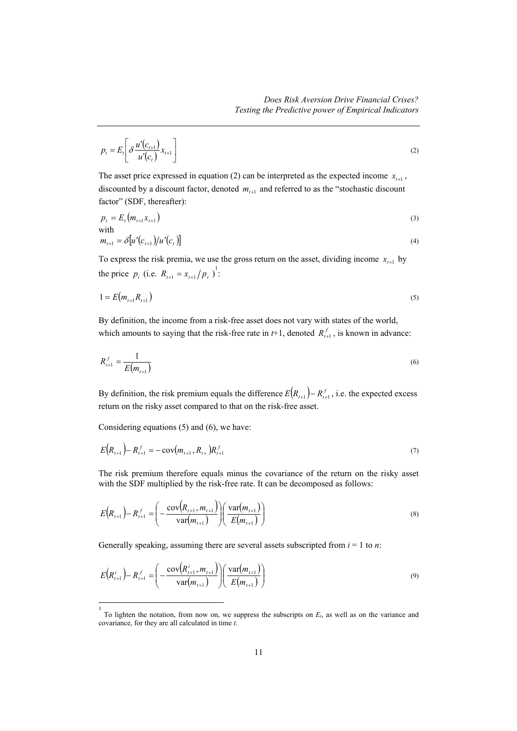$$
p_t = E_t \left[ \delta \frac{u'(c_{t+1})}{u'(c_t)} x_{t+1} \right]
$$
 (2)

The asset price expressed in equation (2) can be interpreted as the expected income  $x_{t+1}$ , discounted by a discount factor, denoted  $m_{t+1}$  and referred to as the "stochastic discount factor" (SDF, thereafter):

$$
p_t = E_t(m_{t+1}x_{t+1})
$$
\nwith

\n
$$
F(t) = \sum_{i=1}^{t} p_i(x_i) \cdot \sum_{i=1}^{t} p_i(x_i) \cdot \sum_{i=1}^{t} p_i(x_i) \cdot \sum_{i=1}^{t} p_i(x_i) \cdot \sum_{i=1}^{t} p_i(x_i) \cdot \sum_{i=1}^{t} p_i(x_i) \cdot \sum_{i=1}^{t} p_i(x_i) \cdot \sum_{i=1}^{t} p_i(x_i) \cdot \sum_{i=1}^{t} p_i(x_i) \cdot \sum_{i=1}^{t} p_i(x_i) \cdot \sum_{i=1}^{t} p_i(x_i) \cdot \sum_{i=1}^{t} p_i(x_i) \cdot \sum_{i=1}^{t} p_i(x_i) \cdot \sum_{i=1}^{t} p_i(x_i) \cdot \sum_{i=1}^{t} p_i(x_i) \cdot \sum_{i=1}^{t} p_i(x_i) \cdot \sum_{i=1}^{t} p_i(x_i) \cdot \sum_{i=1}^{t} p_i(x_i) \cdot \sum_{i=1}^{t} p_i(x_i) \cdot \sum_{i=1}^{t} p_i(x_i) \cdot \sum_{i=1}^{t} p_i(x_i) \cdot \sum_{i=1}^{t} p_i(x_i) \cdot \sum_{i=1}^{t} p_i(x_i) \cdot \sum_{i=1}^{t} p_i(x_i) \cdot \sum_{i=1}^{t} p_i(x_i) \cdot \sum_{i=1}^{t} p_i(x_i) \cdot \sum_{i=1}^{t} p_i(x_i) \cdot \sum_{i=1}^{t} p_i(x_i) \cdot \sum_{i=1}^{t} p_i(x_i) \cdot \sum_{i=1}^{t} p_i(x_i) \cdot \sum_{i=1}^{t} p_i(x_i) \cdot \sum_{i=1}^{t} p_i(x_i) \cdot \sum_{i=1}^{t} p_i(x_i) \cdot \sum_{i=1}^{t} p_i(x_i) \cdot \sum_{i=1}^{t} p_i(x_i) \cdot \sum_{i=1}^{t} p_i(x_i) \cdot \sum_{i=1}^{t} p_i(x_i) \cdot \sum_{i=1}^{t} p_i(x_i) \cdot \sum_{i=1}^{t} p_i(x_i) \cdot \sum_{i=1}^{t} p_i(x_i) \cdot \sum_{i=1}^{t} p_i(x_i) \cdot \sum_{i=1}^{t} p_i(x_i) \cdot \sum_{i=1}
$$

$$
m_{t+1} = \delta[u'(c_{t+1})/u'(c_t)]
$$
\n(4)

To express the risk premia, we use the gross return on the asset, dividing income  $x_{t+1}$  by the price  $p_t$  (i.e.  $R_{t+1} = x_{t+1} / p_t$ )<sup>1</sup>:

$$
1 = E(m_{t+1}R_{t+1})
$$
\n(5)

By definition, the income from a risk-free asset does not vary with states of the world, which amounts to saying that the risk-free rate in  $t+1$ , denoted  $R_{t+1}^f$ , is known in advance:

$$
R_{t+1}^f = \frac{1}{E(m_{t+1})} \tag{6}
$$

By definition, the risk premium equals the difference  $E(R_{i+1}) - R_{i+1}^f$ , i.e. the expected excess return on the risky asset compared to that on the risk-free asset.

Considering equations (5) and (6), we have:

l

$$
E(R_{t+1}) - R_{t+1}^f = -\cos(m_{t+1}, R_{t+})R_{t+1}^f
$$
\n(7)

The risk premium therefore equals minus the covariance of the return on the risky asset with the SDF multiplied by the risk-free rate. It can be decomposed as follows:

$$
E(R_{t+1}) - R_{t+1}^f = \left(-\frac{\text{cov}(R_{t+1}, m_{t+1})}{\text{var}(m_{t+1})}\right) \left(\frac{\text{var}(m_{t+1})}{E(m_{t+1})}\right)
$$
(8)

Generally speaking, assuming there are several assets subscripted from  $i = 1$  to  $n$ .

$$
E\left(R_{t+1}^{i}\right) - R_{t+1}^{f} = \left(-\frac{\text{cov}\left(R_{t+1}^{i}, m_{t+1}\right)}{\text{var}(m_{t+1})}\right) \left(\frac{\text{var}(m_{t+1})}{E(m_{t+1})}\right)
$$
(9)

<sup>1</sup> To lighten the notation, from now on, we suppress the subscripts on  $E<sub>t</sub>$ , as well as on the variance and covariance, for they are all calculated in time *t*.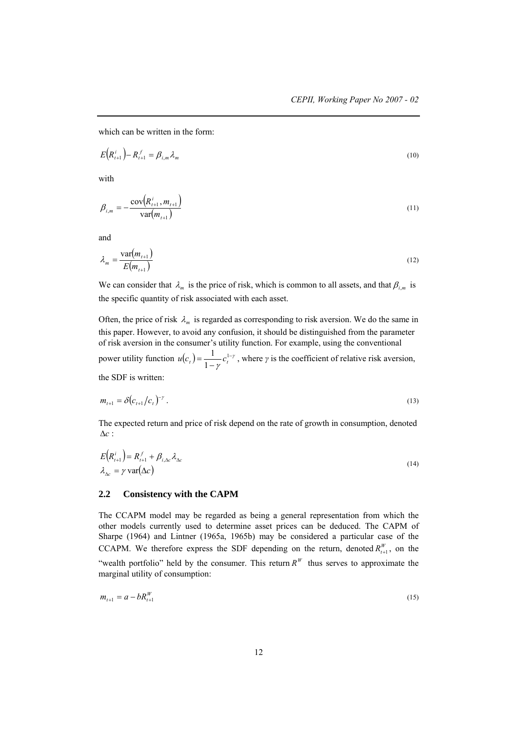which can be written in the form:

$$
E(R_{t+1}^i) - R_{t+1}^f = \beta_{i,m} \lambda_m
$$
\n(10)

with

 $\overline{a}$ 

$$
\beta_{i,m} = -\frac{\text{cov}(R_{t+1}^i, m_{t+1})}{\text{var}(m_{t+1})}
$$
\n(11)

and

 $\overline{a}$  $\lambda$ 

$$
\lambda_m = \frac{\text{var}(m_{t+1})}{E(m_{t+1})} \tag{12}
$$

We can consider that  $\lambda_m$  is the price of risk, which is common to all assets, and that  $\beta_{i,m}$  is the specific quantity of risk associated with each asset.

Often, the price of risk  $\lambda_m$  is regarded as corresponding to risk aversion. We do the same in this paper. However, to avoid any confusion, it should be distinguished from the parameter of risk aversion in the consumer's utility function. For example, using the conventional power utility function  $u(c_t) = \frac{1}{t} + c_t^{1-\gamma}$ γ  $=\frac{1}{1-\gamma}c_t^{1-\gamma}$  $u(c_t) = \frac{1}{1 - c_t^{1-\gamma}}$ , where *γ* is the coefficient of relative risk aversion, the SDF is written:

$$
m_{t+1} = \delta \big( c_{t+1} / c_t \big)^{-\gamma} \,. \tag{13}
$$

The expected return and price of risk depend on the rate of growth in consumption, denoted ∆*c* :

$$
E(R_{t+1}^i) = R_{t+1}^f + \beta_{i,\Delta c} \lambda_{\Delta c}
$$
  
\n
$$
\lambda_{\Delta c} = \gamma \operatorname{var}(\Delta c)
$$
\n(14)

#### **2.2 Consistency with the CAPM**

The CCAPM model may be regarded as being a general representation from which the other models currently used to determine asset prices can be deduced. The CAPM of Sharpe (1964) and Lintner (1965a, 1965b) may be considered a particular case of the CCAPM. We therefore express the SDF depending on the return, denoted  $R_{t+1}^W$ , on the "wealth portfolio" held by the consumer. This return  $R^{W}$  thus serves to approximate the marginal utility of consumption:

$$
m_{t+1} = a - bR_{t+1}^W
$$
 (15)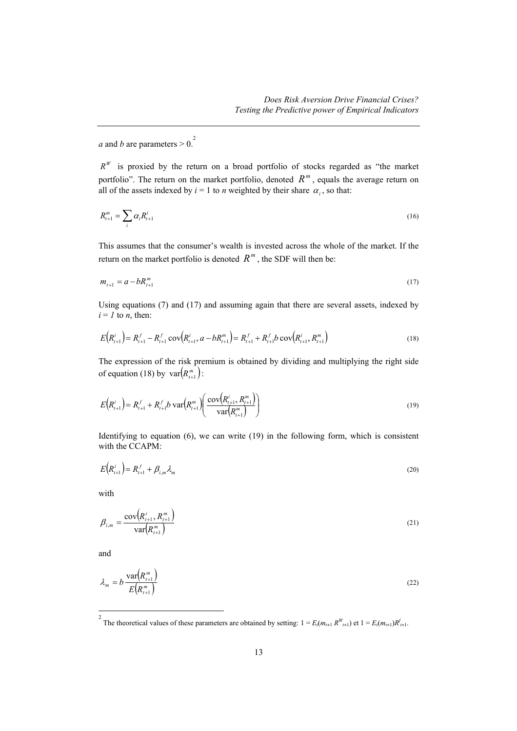*a* and *b* are parameters  $> 0$ .<sup>2</sup>

 $R$ <sup>*W*</sup> is proxied by the return on a broad portfolio of stocks regarded as "the market" portfolio". The return on the market portfolio, denoted  $R^m$ , equals the average return on all of the assets indexed by  $i = 1$  to *n* weighted by their share  $\alpha_i$ , so that:

$$
R_{t+1}^m = \sum_i \alpha_i R_{t+1}^i \tag{16}
$$

This assumes that the consumer's wealth is invested across the whole of the market. If the return on the market portfolio is denoted  $R^m$ , the SDF will then be:

$$
m_{t+1} = a - bR_{t+1}^m \tag{17}
$$

Using equations (7) and (17) and assuming again that there are several assets, indexed by  $i = 1$  to *n*, then:

$$
E(R_{t+1}^i) = R_{t+1}^f - R_{t+1}^f \operatorname{cov}(R_{t+1}^i, a - b R_{t+1}^m) = R_{t+1}^f + R_{t+1}^f b \operatorname{cov}(R_{t+1}^i, R_{t+1}^m)
$$
(18)

The expression of the risk premium is obtained by dividing and multiplying the right side of equation (18) by  $var(R_{t+1}^m)$ :

$$
E(R_{t+1}^i) = R_{t+1}^f + R_{t+1}^f b \, \text{var}\big(R_{t+1}^m\big) \bigg(\frac{\text{cov}\big(R_{t+1}^i, R_{t+1}^m\big)}{\text{var}\big(R_{t+1}^m\big)}\bigg)
$$
(19)

Identifying to equation (6), we can write (19) in the following form, which is consistent with the CCAPM:

$$
E(R_{t+1}^i) = R_{t+1}^f + \beta_{i,m}\lambda_m
$$
\n(20)

with

 $\overline{a}$ 

$$
\beta_{i,m} = \frac{\text{cov}(R_{t+1}^i, R_{t+1}^m)}{\text{var}(R_{t+1}^m)}
$$
(21)

and

$$
\lambda_m = b \frac{\text{var}\left(R_{t+1}^m\right)}{E\left(R_{t+1}^m\right)}\tag{22}
$$

<sup>&</sup>lt;sup>2</sup> The theoretical values of these parameters are obtained by setting:  $1 = E_t(m_{t+1} R^{W}_{t+1})$  et  $1 = E_t(m_{t+1}) R^{f}_{t+1}$ .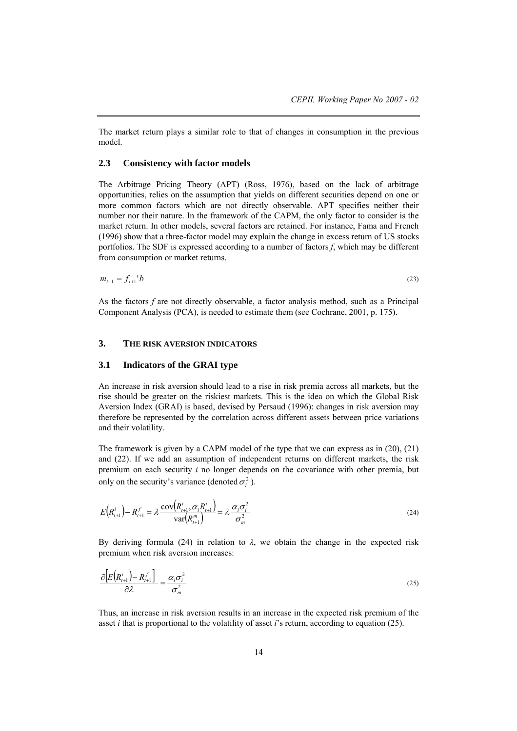The market return plays a similar role to that of changes in consumption in the previous model.

#### **2.3 Consistency with factor models**

The Arbitrage Pricing Theory (APT) (Ross, 1976), based on the lack of arbitrage opportunities, relies on the assumption that yields on different securities depend on one or more common factors which are not directly observable. APT specifies neither their number nor their nature. In the framework of the CAPM, the only factor to consider is the market return. In other models, several factors are retained. For instance, Fama and French (1996) show that a three-factor model may explain the change in excess return of US stocks portfolios. The SDF is expressed according to a number of factors *f*, which may be different from consumption or market returns.

$$
m_{t+1} = f_{t+1} b \tag{23}
$$

As the factors *f* are not directly observable, a factor analysis method, such as a Principal Component Analysis (PCA), is needed to estimate them (see Cochrane, 2001, p. 175).

#### **3. THE RISK AVERSION INDICATORS**

#### **3.1 Indicators of the GRAI type**

An increase in risk aversion should lead to a rise in risk premia across all markets, but the rise should be greater on the riskiest markets. This is the idea on which the Global Risk Aversion Index (GRAI) is based, devised by Persaud (1996): changes in risk aversion may therefore be represented by the correlation across different assets between price variations and their volatility.

The framework is given by a CAPM model of the type that we can express as in (20), (21) and (22). If we add an assumption of independent returns on different markets, the risk premium on each security *i* no longer depends on the covariance with other premia, but only on the security's variance (denoted  $\sigma_i^2$ ).

$$
E\left(R_{t+1}^i\right) - R_{t+1}^f = \lambda \frac{\text{cov}\left(R_{t+1}^i, \alpha_i R_{t+1}^i\right)}{\text{var}\left(R_{t+1}^m\right)} = \lambda \frac{\alpha_i \sigma_i^2}{\sigma_m^2} \tag{24}
$$

By deriving formula (24) in relation to  $\lambda$ , we obtain the change in the expected risk premium when risk aversion increases:

$$
\frac{\partial \left[E\left(R_{t+1}^{i}\right) - R_{t+1}^{f}\right]}{\partial \lambda} = \frac{\alpha_i \sigma_i^2}{\sigma_m^2} \tag{25}
$$

Thus, an increase in risk aversion results in an increase in the expected risk premium of the asset *i* that is proportional to the volatility of asset *i*'s return, according to equation (25).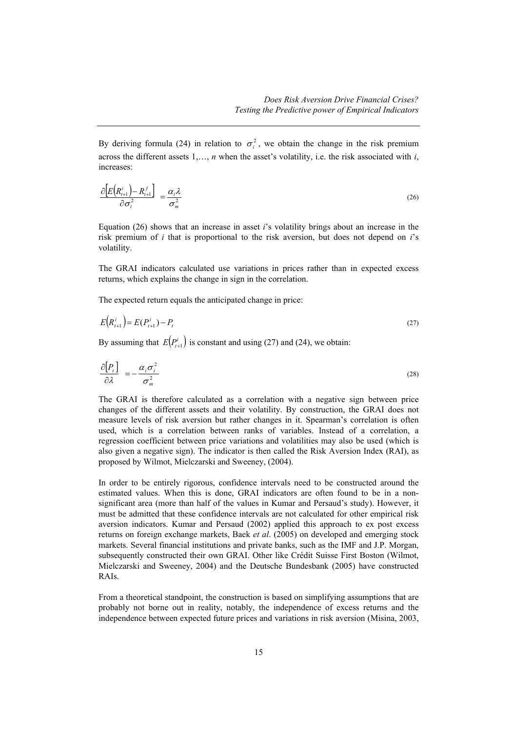By deriving formula (24) in relation to  $\sigma_i^2$ , we obtain the change in the risk premium across the different assets 1,…, *n* when the asset's volatility, i.e. the risk associated with *i*, increases:

$$
\frac{\partial \left[E\left(R_{i+1}^i\right) - R_{i+1}^f\right]}{\partial \sigma_i^2} = \frac{\alpha_i \lambda}{\sigma_m^2} \tag{26}
$$

Equation (26) shows that an increase in asset *i*'s volatility brings about an increase in the risk premium of *i* that is proportional to the risk aversion, but does not depend on *i*'s volatility.

The GRAI indicators calculated use variations in prices rather than in expected excess returns, which explains the change in sign in the correlation.

The expected return equals the anticipated change in price:

 $\lambda$ 

$$
E(R_{t+1}^i) = E(P_{t+1}^i) - P_t \tag{27}
$$

By assuming that  $E(P_{t+1}^i)$  is constant and using (27) and (24), we obtain:

$$
\frac{\partial [P_t]}{\partial \lambda} = -\frac{\alpha_i \sigma_i^2}{\sigma_m^2} \tag{28}
$$

The GRAI is therefore calculated as a correlation with a negative sign between price changes of the different assets and their volatility. By construction, the GRAI does not measure levels of risk aversion but rather changes in it. Spearman's correlation is often used, which is a correlation between ranks of variables. Instead of a correlation, a regression coefficient between price variations and volatilities may also be used (which is also given a negative sign). The indicator is then called the Risk Aversion Index (RAI), as proposed by Wilmot, Mielczarski and Sweeney, (2004).

In order to be entirely rigorous, confidence intervals need to be constructed around the estimated values. When this is done, GRAI indicators are often found to be in a nonsignificant area (more than half of the values in Kumar and Persaud's study). However, it must be admitted that these confidence intervals are not calculated for other empirical risk aversion indicators. Kumar and Persaud (2002) applied this approach to ex post excess returns on foreign exchange markets, Baek *et al*. (2005) on developed and emerging stock markets. Several financial institutions and private banks, such as the IMF and J.P. Morgan, subsequently constructed their own GRAI. Other like Crédit Suisse First Boston (Wilmot, Mielczarski and Sweeney, 2004) and the Deutsche Bundesbank (2005) have constructed RAIs.

From a theoretical standpoint, the construction is based on simplifying assumptions that are probably not borne out in reality, notably, the independence of excess returns and the independence between expected future prices and variations in risk aversion (Misina, 2003,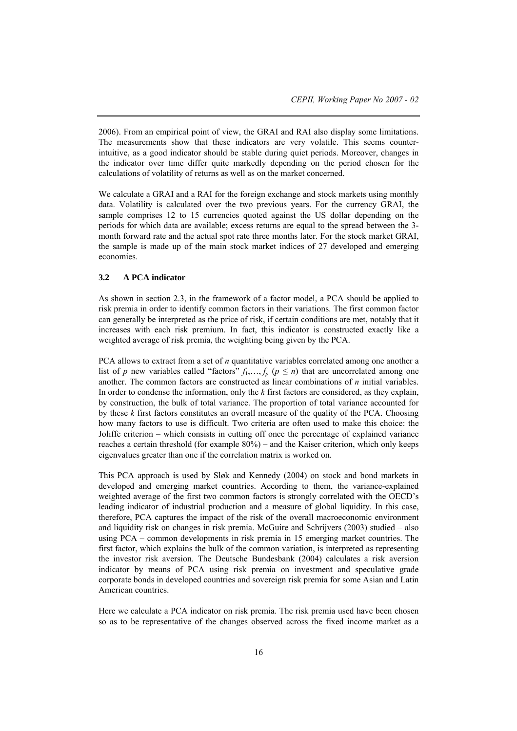2006). From an empirical point of view, the GRAI and RAI also display some limitations. The measurements show that these indicators are very volatile. This seems counterintuitive, as a good indicator should be stable during quiet periods. Moreover, changes in the indicator over time differ quite markedly depending on the period chosen for the calculations of volatility of returns as well as on the market concerned.

We calculate a GRAI and a RAI for the foreign exchange and stock markets using monthly data. Volatility is calculated over the two previous years. For the currency GRAI, the sample comprises 12 to 15 currencies quoted against the US dollar depending on the periods for which data are available; excess returns are equal to the spread between the 3 month forward rate and the actual spot rate three months later. For the stock market GRAI, the sample is made up of the main stock market indices of 27 developed and emerging economies.

#### **3.2 A PCA indicator**

As shown in section 2.3, in the framework of a factor model, a PCA should be applied to risk premia in order to identify common factors in their variations. The first common factor can generally be interpreted as the price of risk, if certain conditions are met, notably that it increases with each risk premium. In fact, this indicator is constructed exactly like a weighted average of risk premia, the weighting being given by the PCA.

PCA allows to extract from a set of *n* quantitative variables correlated among one another a list of *p* new variables called "factors"  $f_1, \ldots, f_p$  ( $p \leq n$ ) that are uncorrelated among one another. The common factors are constructed as linear combinations of *n* initial variables. In order to condense the information, only the *k* first factors are considered, as they explain, by construction, the bulk of total variance. The proportion of total variance accounted for by these *k* first factors constitutes an overall measure of the quality of the PCA. Choosing how many factors to use is difficult. Two criteria are often used to make this choice: the Joliffe criterion – which consists in cutting off once the percentage of explained variance reaches a certain threshold (for example 80%) – and the Kaiser criterion, which only keeps eigenvalues greater than one if the correlation matrix is worked on.

This PCA approach is used by Sløk and Kennedy (2004) on stock and bond markets in developed and emerging market countries. According to them, the variance-explained weighted average of the first two common factors is strongly correlated with the OECD's leading indicator of industrial production and a measure of global liquidity. In this case, therefore, PCA captures the impact of the risk of the overall macroeconomic environment and liquidity risk on changes in risk premia. McGuire and Schrijvers (2003) studied – also using PCA – common developments in risk premia in 15 emerging market countries. The first factor, which explains the bulk of the common variation, is interpreted as representing the investor risk aversion. The Deutsche Bundesbank (2004) calculates a risk aversion indicator by means of PCA using risk premia on investment and speculative grade corporate bonds in developed countries and sovereign risk premia for some Asian and Latin American countries.

Here we calculate a PCA indicator on risk premia. The risk premia used have been chosen so as to be representative of the changes observed across the fixed income market as a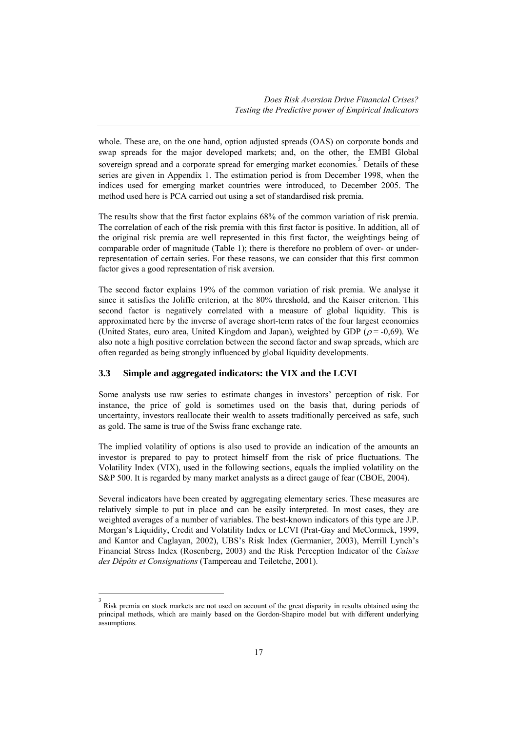whole. These are, on the one hand, option adjusted spreads (OAS) on corporate bonds and swap spreads for the major developed markets; and, on the other, the EMBI Global sovereign spread and a corporate spread for emerging market economies.<sup>3</sup> Details of these series are given in Appendix 1. The estimation period is from December 1998, when the indices used for emerging market countries were introduced, to December 2005. The method used here is PCA carried out using a set of standardised risk premia.

The results show that the first factor explains 68% of the common variation of risk premia. The correlation of each of the risk premia with this first factor is positive. In addition, all of the original risk premia are well represented in this first factor, the weightings being of comparable order of magnitude (Table 1); there is therefore no problem of over- or underrepresentation of certain series. For these reasons, we can consider that this first common factor gives a good representation of risk aversion.

The second factor explains 19% of the common variation of risk premia. We analyse it since it satisfies the Joliffe criterion, at the 80% threshold, and the Kaiser criterion. This second factor is negatively correlated with a measure of global liquidity. This is approximated here by the inverse of average short-term rates of the four largest economies (United States, euro area, United Kingdom and Japan), weighted by GDP ( $\rho$  = -0,69). We also note a high positive correlation between the second factor and swap spreads, which are often regarded as being strongly influenced by global liquidity developments.

### **3.3 Simple and aggregated indicators: the VIX and the LCVI**

Some analysts use raw series to estimate changes in investors' perception of risk. For instance, the price of gold is sometimes used on the basis that, during periods of uncertainty, investors reallocate their wealth to assets traditionally perceived as safe, such as gold. The same is true of the Swiss franc exchange rate.

The implied volatility of options is also used to provide an indication of the amounts an investor is prepared to pay to protect himself from the risk of price fluctuations. The Volatility Index (VIX), used in the following sections, equals the implied volatility on the S&P 500. It is regarded by many market analysts as a direct gauge of fear (CBOE, 2004).

Several indicators have been created by aggregating elementary series. These measures are relatively simple to put in place and can be easily interpreted. In most cases, they are weighted averages of a number of variables. The best-known indicators of this type are J.P. Morgan's Liquidity, Credit and Volatility Index or LCVI (Prat-Gay and McCormick, 1999, and Kantor and Caglayan, 2002), UBS's Risk Index (Germanier, 2003), Merrill Lynch's Financial Stress Index (Rosenberg, 2003) and the Risk Perception Indicator of the *Caisse des Dépôts et Consignations* (Tampereau and Teiletche, 2001).

l

<sup>3</sup> Risk premia on stock markets are not used on account of the great disparity in results obtained using the principal methods, which are mainly based on the Gordon-Shapiro model but with different underlying assumptions.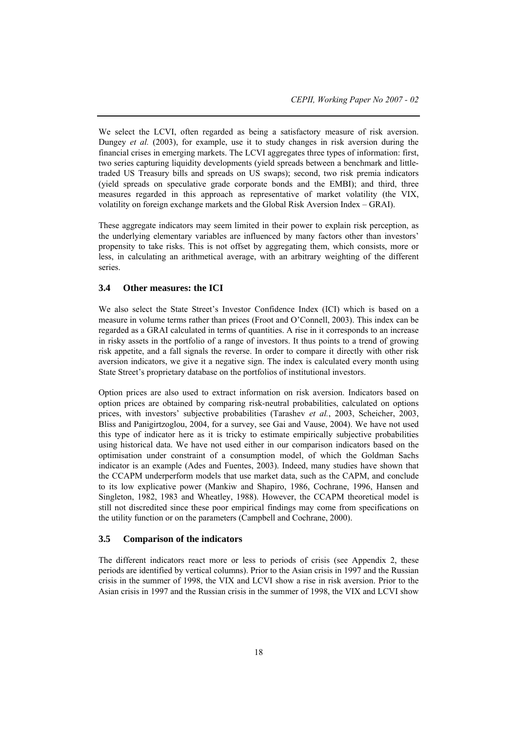We select the LCVI, often regarded as being a satisfactory measure of risk aversion. Dungey *et al.* (2003), for example, use it to study changes in risk aversion during the financial crises in emerging markets. The LCVI aggregates three types of information: first, two series capturing liquidity developments (yield spreads between a benchmark and littletraded US Treasury bills and spreads on US swaps); second, two risk premia indicators (yield spreads on speculative grade corporate bonds and the EMBI); and third, three measures regarded in this approach as representative of market volatility (the VIX, volatility on foreign exchange markets and the Global Risk Aversion Index – GRAI).

These aggregate indicators may seem limited in their power to explain risk perception, as the underlying elementary variables are influenced by many factors other than investors' propensity to take risks. This is not offset by aggregating them, which consists, more or less, in calculating an arithmetical average, with an arbitrary weighting of the different series.

#### **3.4 Other measures: the ICI**

We also select the State Street's Investor Confidence Index (ICI) which is based on a measure in volume terms rather than prices (Froot and O'Connell, 2003). This index can be regarded as a GRAI calculated in terms of quantities. A rise in it corresponds to an increase in risky assets in the portfolio of a range of investors. It thus points to a trend of growing risk appetite, and a fall signals the reverse. In order to compare it directly with other risk aversion indicators, we give it a negative sign. The index is calculated every month using State Street's proprietary database on the portfolios of institutional investors.

Option prices are also used to extract information on risk aversion. Indicators based on option prices are obtained by comparing risk-neutral probabilities, calculated on options prices, with investors' subjective probabilities (Tarashev *et al.*, 2003, Scheicher, 2003, Bliss and Panigirtzoglou, 2004, for a survey, see Gai and Vause, 2004). We have not used this type of indicator here as it is tricky to estimate empirically subjective probabilities using historical data. We have not used either in our comparison indicators based on the optimisation under constraint of a consumption model, of which the Goldman Sachs indicator is an example (Ades and Fuentes, 2003). Indeed, many studies have shown that the CCAPM underperform models that use market data, such as the CAPM, and conclude to its low explicative power (Mankiw and Shapiro, 1986, Cochrane, 1996, Hansen and Singleton, 1982, 1983 and Wheatley, 1988). However, the CCAPM theoretical model is still not discredited since these poor empirical findings may come from specifications on the utility function or on the parameters (Campbell and Cochrane, 2000).

#### **3.5 Comparison of the indicators**

The different indicators react more or less to periods of crisis (see Appendix 2, these periods are identified by vertical columns). Prior to the Asian crisis in 1997 and the Russian crisis in the summer of 1998, the VIX and LCVI show a rise in risk aversion. Prior to the Asian crisis in 1997 and the Russian crisis in the summer of 1998, the VIX and LCVI show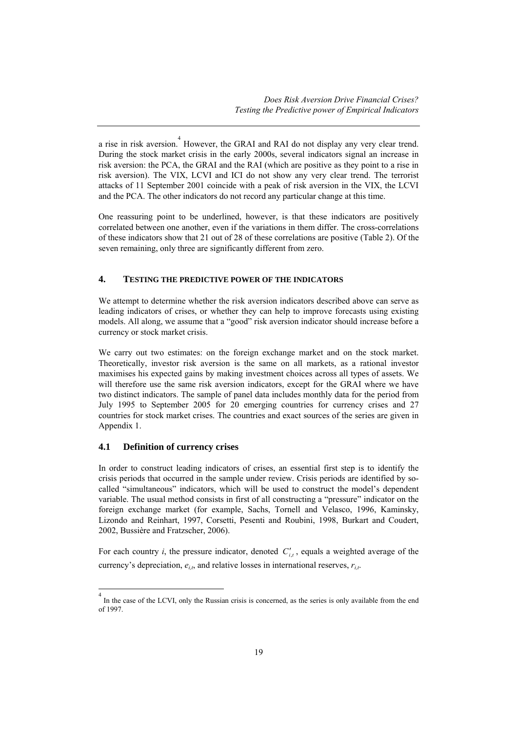a rise in risk aversion.<sup>4</sup> However, the GRAI and RAI do not display any very clear trend. During the stock market crisis in the early 2000s, several indicators signal an increase in risk aversion: the PCA, the GRAI and the RAI (which are positive as they point to a rise in risk aversion). The VIX, LCVI and ICI do not show any very clear trend. The terrorist attacks of 11 September 2001 coincide with a peak of risk aversion in the VIX, the LCVI and the PCA. The other indicators do not record any particular change at this time.

One reassuring point to be underlined, however, is that these indicators are positively correlated between one another, even if the variations in them differ. The cross-correlations of these indicators show that 21 out of 28 of these correlations are positive (Table 2). Of the seven remaining, only three are significantly different from zero.

## **4. TESTING THE PREDICTIVE POWER OF THE INDICATORS**

We attempt to determine whether the risk aversion indicators described above can serve as leading indicators of crises, or whether they can help to improve forecasts using existing models. All along, we assume that a "good" risk aversion indicator should increase before a currency or stock market crisis.

We carry out two estimates: on the foreign exchange market and on the stock market. Theoretically, investor risk aversion is the same on all markets, as a rational investor maximises his expected gains by making investment choices across all types of assets. We will therefore use the same risk aversion indicators, except for the GRAI where we have two distinct indicators. The sample of panel data includes monthly data for the period from July 1995 to September 2005 for 20 emerging countries for currency crises and 27 countries for stock market crises. The countries and exact sources of the series are given in Appendix 1.

## **4.1 Definition of currency crises**

l

In order to construct leading indicators of crises, an essential first step is to identify the crisis periods that occurred in the sample under review. Crisis periods are identified by socalled "simultaneous" indicators, which will be used to construct the model's dependent variable. The usual method consists in first of all constructing a "pressure" indicator on the foreign exchange market (for example, Sachs, Tornell and Velasco, 1996, Kaminsky, Lizondo and Reinhart, 1997, Corsetti, Pesenti and Roubini, 1998, Burkart and Coudert, 2002, Bussière and Fratzscher, 2006).

For each country *i*, the pressure indicator, denoted  $C'_{i,t}$ , equals a weighted average of the currency's depreciation,  $e_{it}$ , and relative losses in international reserves,  $r_{it}$ .

<sup>4</sup> In the case of the LCVI, only the Russian crisis is concerned, as the series is only available from the end of 1997.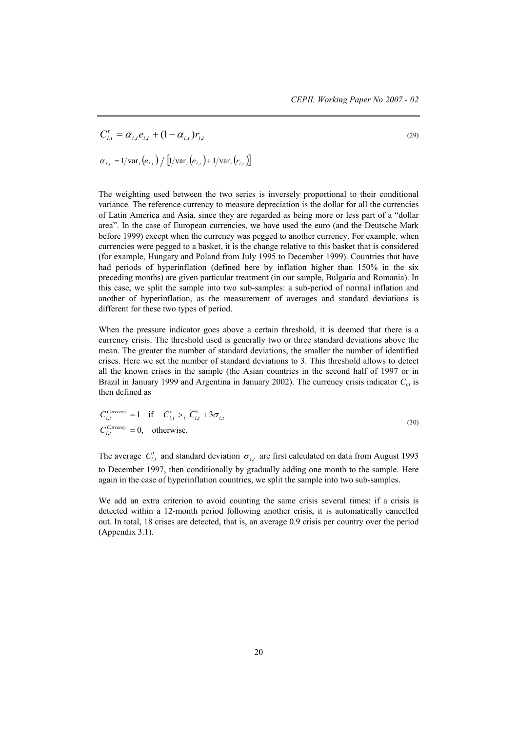$$
C'_{i,t} = \alpha_{i,t} e_{i,t} + (1 - \alpha_{i,t}) r_{i,t}
$$
  
\n
$$
\alpha_{i,t} = 1/\text{var}_t(e_{i,t}) / [1/\text{var}_t(e_{i,t}) + 1/\text{var}_t(r_{i,t})]
$$
\n(29)

The weighting used between the two series is inversely proportional to their conditional variance. The reference currency to measure depreciation is the dollar for all the currencies of Latin America and Asia, since they are regarded as being more or less part of a "dollar area". In the case of European currencies, we have used the euro (and the Deutsche Mark before 1999) except when the currency was pegged to another currency. For example, when currencies were pegged to a basket, it is the change relative to this basket that is considered (for example, Hungary and Poland from July 1995 to December 1999). Countries that have had periods of hyperinflation (defined here by inflation higher than 150% in the six preceding months) are given particular treatment (in our sample, Bulgaria and Romania). In this case, we split the sample into two sub-samples: a sub-period of normal inflation and another of hyperinflation, as the measurement of averages and standard deviations is different for these two types of period.

When the pressure indicator goes above a certain threshold, it is deemed that there is a currency crisis. The threshold used is generally two or three standard deviations above the mean. The greater the number of standard deviations, the smaller the number of identified crises. Here we set the number of standard deviations to 3. This threshold allows to detect all the known crises in the sample (the Asian countries in the second half of 1997 or in Brazil in January 1999 and Argentina in January 2002). The currency crisis indicator  $C_{i,t}$  is then defined as

$$
C_{i,t}^{Current} = 1 \quad \text{if} \quad C'_{i,t} >_t \overline{C'_{i,t}} + 3\sigma_{i,t}
$$
  
\n
$$
C_{i,t}^{Current} = 0, \quad \text{otherwise.}
$$
\n(30)

The average  $\overline{C'_{i,t}}$  and standard deviation  $\sigma_{i,t}$  are first calculated on data from August 1993 to December 1997, then conditionally by gradually adding one month to the sample. Here again in the case of hyperinflation countries, we split the sample into two sub-samples.

We add an extra criterion to avoid counting the same crisis several times: if a crisis is detected within a 12-month period following another crisis, it is automatically cancelled out. In total, 18 crises are detected, that is, an average 0.9 crisis per country over the period (Appendix 3.1).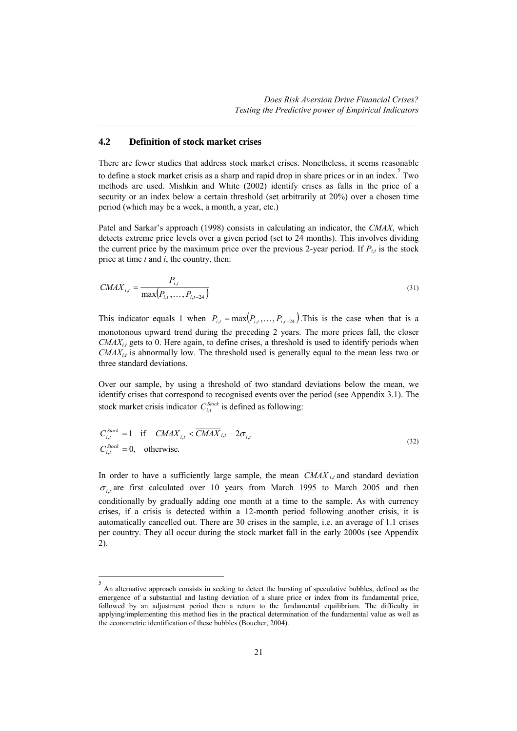## **4.2 Definition of stock market crises**

There are fewer studies that address stock market crises. Nonetheless, it seems reasonable to define a stock market crisis as a sharp and rapid drop in share prices or in an index. Two methods are used. Mishkin and White (2002) identify crises as falls in the price of a security or an index below a certain threshold (set arbitrarily at 20%) over a chosen time period (which may be a week, a month, a year, etc.)

Patel and Sarkar's approach (1998) consists in calculating an indicator, the *CMAX*, which detects extreme price levels over a given period (set to 24 months). This involves dividing the current price by the maximum price over the previous 2-year period. If  $P_{i}$  is the stock price at time *t* and *i*, the country, then:

$$
CMAX_{i,t} = \frac{P_{i,t}}{\max(P_{i,t}, \dots, P_{i,t-24})}
$$
(31)

This indicator equals 1 when  $P_{i,t} = \max(P_{i,t}, \ldots, P_{i,t-24})$ . This is the case when that is a monotonous upward trend during the preceding 2 years. The more prices fall, the closer  $CMAX_{i,t}$  gets to 0. Here again, to define crises, a threshold is used to identify periods when *CMAXi,t* is abnormally low. The threshold used is generally equal to the mean less two or three standard deviations.

Over our sample, by using a threshold of two standard deviations below the mean, we identify crises that correspond to recognised events over the period (see Appendix 3.1). The stock market crisis indicator  $C_{i,t}^{Stock}$  is defined as following:

$$
C_{i,t}^{Slock} = 1 \quad \text{if} \quad CMAX_{i,t} < CMAX_{i,t} - 2\sigma_{i,t} \tag{32}
$$
\n
$$
C_{i,t}^{Slock} = 0, \quad \text{otherwise.}
$$

In order to have a sufficiently large sample, the mean  $\overline{CMAX}_{i,t}$  and standard deviation  $\sigma_{i,t}$  are first calculated over 10 years from March 1995 to March 2005 and then conditionally by gradually adding one month at a time to the sample. As with currency crises, if a crisis is detected within a 12-month period following another crisis, it is automatically cancelled out. There are 30 crises in the sample, i.e. an average of 1.1 crises per country. They all occur during the stock market fall in the early 2000s (see Appendix 2).

l

<sup>5</sup> An alternative approach consists in seeking to detect the bursting of speculative bubbles, defined as the emergence of a substantial and lasting deviation of a share price or index from its fundamental price, followed by an adjustment period then a return to the fundamental equilibrium. The difficulty in applying/implementing this method lies in the practical determination of the fundamental value as well as the econometric identification of these bubbles (Boucher, 2004).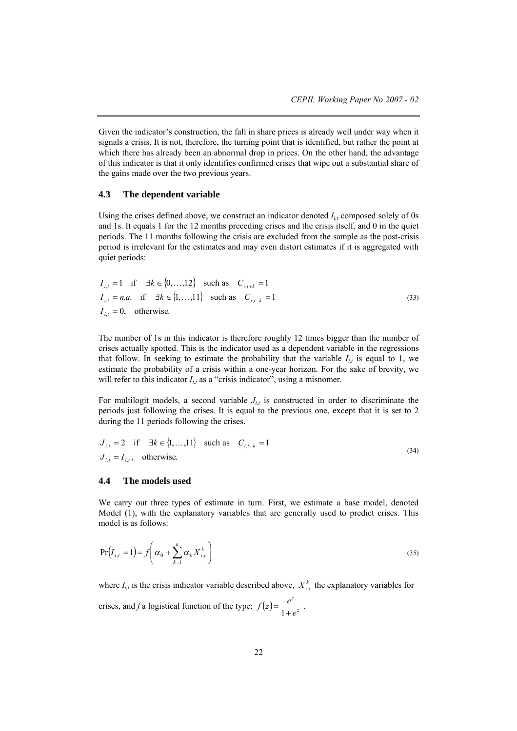Given the indicator's construction, the fall in share prices is already well under way when it signals a crisis. It is not, therefore, the turning point that is identified, but rather the point at which there has already been an abnormal drop in prices. On the other hand, the advantage of this indicator is that it only identifies confirmed crises that wipe out a substantial share of the gains made over the two previous years.

#### **4.3 The dependent variable**

Using the crises defined above, we construct an indicator denoted  $I_{i,t}$  composed solely of 0s and 1s. It equals 1 for the 12 months preceding crises and the crisis itself, and 0 in the quiet periods. The 11 months following the crisis are excluded from the sample as the post-crisis period is irrelevant for the estimates and may even distort estimates if it is aggregated with quiet periods:

$$
I_{i,t} = 1 \quad \text{if} \quad \exists k \in \{0, \dots, 12\} \quad \text{such as} \quad C_{i,t+k} = 1
$$
\n
$$
I_{i,t} = n.a. \quad \text{if} \quad \exists k \in \{1, \dots, 11\} \quad \text{such as} \quad C_{i,t-k} = 1
$$
\n
$$
I_{i,t} = 0, \quad \text{otherwise.}
$$
\n
$$
(33)
$$

The number of 1s in this indicator is therefore roughly 12 times bigger than the number of crises actually spotted. This is the indicator used as a dependent variable in the regressions that follow. In seeking to estimate the probability that the variable  $I_{it}$  is equal to 1, we estimate the probability of a crisis within a one-year horizon. For the sake of brevity, we will refer to this indicator  $I_{i,t}$  as a "crisis indicator", using a misnomer.

For multilogit models, a second variable  $J_{i,t}$  is constructed in order to discriminate the periods just following the crises. It is equal to the previous one, except that it is set to 2 during the 11 periods following the crises.

$$
J_{i,t} = 2 \quad \text{if} \quad \exists k \in \{1, \dots, 11\} \quad \text{such as} \quad C_{i,t-k} = 1
$$
\n
$$
J_{i,t} = I_{i,t}, \quad \text{otherwise.} \tag{34}
$$

#### **4.4 The models used**

We carry out three types of estimate in turn. First, we estimate a base model, denoted Model (1), with the explanatory variables that are generally used to predict crises. This model is as follows:

$$
\Pr(I_{i,t} = 1) = f\left(\alpha_0 + \sum_{k=1}^{n} \alpha_k X_{i,t}^k\right)
$$
\n(35)

where  $I_{i,t}$  is the crisis indicator variable described above,  $X_{i,t}^{k}$  the explanatory variables for crises, and *f* a logistical function of the type:  $f(z) = \frac{e^z}{1 + z^2}$  $f(z) = \frac{e^z}{1 + e^z}$ .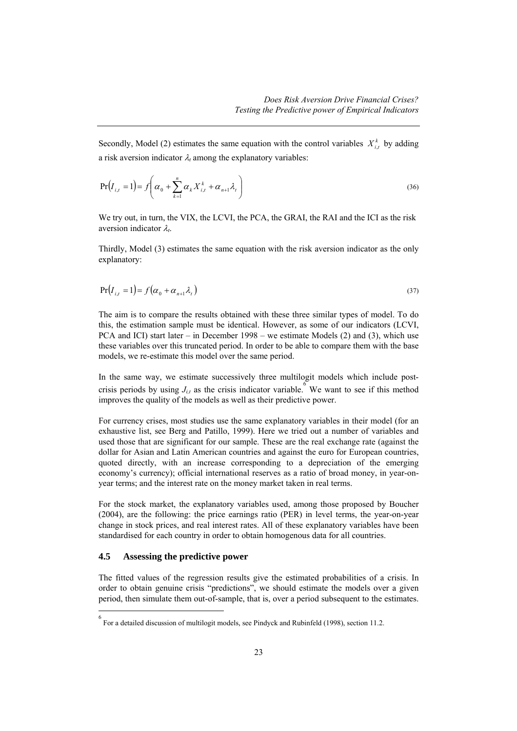Secondly, Model (2) estimates the same equation with the control variables  $X_{i,t}^{k}$  by adding a risk aversion indicator  $\lambda_t$  among the explanatory variables:

$$
Pr(I_{i,t} = 1) = f\left(\alpha_0 + \sum_{k=1}^{n} \alpha_k X_{i,t}^k + \alpha_{n+1} \lambda_t\right)
$$
\n(36)

We try out, in turn, the VIX, the LCVI, the PCA, the GRAI, the RAI and the ICI as the risk aversion indicator λ*t*.

Thirdly, Model (3) estimates the same equation with the risk aversion indicator as the only explanatory:

$$
Pr(I_{i,t} = 1) = f(\alpha_0 + \alpha_{n+1}\lambda_t)
$$
\n(37)

The aim is to compare the results obtained with these three similar types of model. To do this, the estimation sample must be identical. However, as some of our indicators (LCVI, PCA and ICI) start later – in December 1998 – we estimate Models (2) and (3), which use these variables over this truncated period. In order to be able to compare them with the base models, we re-estimate this model over the same period.

In the same way, we estimate successively three multilogit models which include postcrisis periods by using  $J_{i,t}$  as the crisis indicator variable. We want to see if this method improves the quality of the models as well as their predictive power.

For currency crises, most studies use the same explanatory variables in their model (for an exhaustive list, see Berg and Patillo, 1999). Here we tried out a number of variables and used those that are significant for our sample. These are the real exchange rate (against the dollar for Asian and Latin American countries and against the euro for European countries, quoted directly, with an increase corresponding to a depreciation of the emerging economy's currency); official international reserves as a ratio of broad money, in year-onyear terms; and the interest rate on the money market taken in real terms.

For the stock market, the explanatory variables used, among those proposed by Boucher (2004), are the following: the price earnings ratio (PER) in level terms, the year-on-year change in stock prices, and real interest rates. All of these explanatory variables have been standardised for each country in order to obtain homogenous data for all countries.

#### **4.5 Assessing the predictive power**

 $\sim$ 

l

The fitted values of the regression results give the estimated probabilities of a crisis. In order to obtain genuine crisis "predictions", we should estimate the models over a given period, then simulate them out-of-sample, that is, over a period subsequent to the estimates.

<sup>6</sup> For a detailed discussion of multilogit models, see Pindyck and Rubinfeld (1998), section 11.2.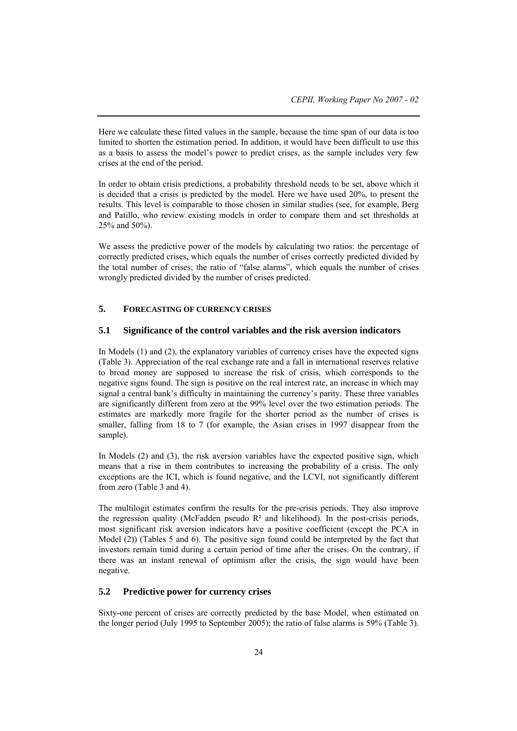Here we calculate these fitted values in the sample, because the time span of our data is too limited to shorten the estimation period. In addition, it would have been difficult to use this as a basis to assess the model's power to predict crises, as the sample includes very few crises at the end of the period.

In order to obtain crisis predictions, a probability threshold needs to be set, above which it is decided that a crisis is predicted by the model. Here we have used 20%, to present the results. This level is comparable to those chosen in similar studies (see, for example, Berg and Patillo, who review existing models in order to compare them and set thresholds at 25% and 50%).

We assess the predictive power of the models by calculating two ratios: the percentage of correctly predicted crises, which equals the number of crises correctly predicted divided by the total number of crises; the ratio of "false alarms", which equals the number of crises wrongly predicted divided by the number of crises predicted.

## **5. FORECASTING OF CURRENCY CRISES**

#### **5.1 Significance of the control variables and the risk aversion indicators**

In Models (1) and (2), the explanatory variables of currency crises have the expected signs (Table 3). Appreciation of the real exchange rate and a fall in international reserves relative to broad money are supposed to increase the risk of crisis, which corresponds to the negative signs found. The sign is positive on the real interest rate, an increase in which may signal a central bank's difficulty in maintaining the currency's parity. These three variables are significantly different from zero at the 99% level over the two estimation periods. The estimates are markedly more fragile for the shorter period as the number of crises is smaller, falling from 18 to 7 (for example, the Asian crises in 1997 disappear from the sample).

In Models (2) and (3), the risk aversion variables have the expected positive sign, which means that a rise in them contributes to increasing the probability of a crisis. The only exceptions are the ICI, which is found negative, and the LCVI, not significantly different from zero (Table 3 and 4).

The multilogit estimates confirm the results for the pre-crisis periods. They also improve the regression quality (McFadden pseudo  $R<sup>2</sup>$  and likelihood). In the post-crisis periods, most significant risk aversion indicators have a positive coefficient (except the PCA in Model (2)) (Tables 5 and 6). The positive sign found could be interpreted by the fact that investors remain timid during a certain period of time after the crises. On the contrary, if there was an instant renewal of optimism after the crisis, the sign would have been negative.

### **5.2 Predictive power for currency crises**

Sixty-one percent of crises are correctly predicted by the base Model, when estimated on the longer period (July 1995 to September 2005); the ratio of false alarms is 59% (Table 3).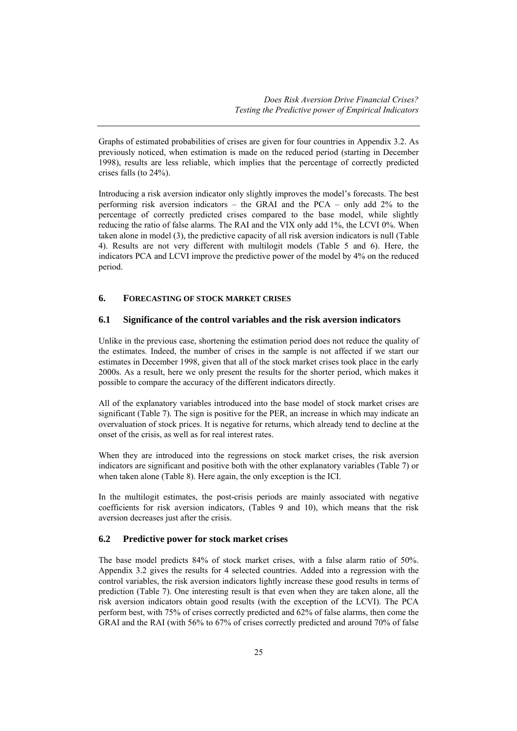Graphs of estimated probabilities of crises are given for four countries in Appendix 3.2. As previously noticed, when estimation is made on the reduced period (starting in December 1998), results are less reliable, which implies that the percentage of correctly predicted crises falls (to 24%).

Introducing a risk aversion indicator only slightly improves the model's forecasts. The best performing risk aversion indicators – the GRAI and the PCA – only add 2% to the percentage of correctly predicted crises compared to the base model, while slightly reducing the ratio of false alarms. The RAI and the VIX only add 1%, the LCVI 0%. When taken alone in model (3), the predictive capacity of all risk aversion indicators is null (Table 4). Results are not very different with multilogit models (Table 5 and 6). Here, the indicators PCA and LCVI improve the predictive power of the model by 4% on the reduced period.

### **6. FORECASTING OF STOCK MARKET CRISES**

#### **6.1 Significance of the control variables and the risk aversion indicators**

Unlike in the previous case, shortening the estimation period does not reduce the quality of the estimates. Indeed, the number of crises in the sample is not affected if we start our estimates in December 1998, given that all of the stock market crises took place in the early 2000s. As a result, here we only present the results for the shorter period, which makes it possible to compare the accuracy of the different indicators directly.

All of the explanatory variables introduced into the base model of stock market crises are significant (Table 7). The sign is positive for the PER, an increase in which may indicate an overvaluation of stock prices. It is negative for returns, which already tend to decline at the onset of the crisis, as well as for real interest rates.

When they are introduced into the regressions on stock market crises, the risk aversion indicators are significant and positive both with the other explanatory variables (Table 7) or when taken alone (Table 8). Here again, the only exception is the ICI.

In the multilogit estimates, the post-crisis periods are mainly associated with negative coefficients for risk aversion indicators, (Tables 9 and 10), which means that the risk aversion decreases just after the crisis.

## **6.2 Predictive power for stock market crises**

The base model predicts 84% of stock market crises, with a false alarm ratio of 50%. Appendix 3.2 gives the results for 4 selected countries. Added into a regression with the control variables, the risk aversion indicators lightly increase these good results in terms of prediction (Table 7). One interesting result is that even when they are taken alone, all the risk aversion indicators obtain good results (with the exception of the LCVI). The PCA perform best, with 75% of crises correctly predicted and 62% of false alarms, then come the GRAI and the RAI (with 56% to 67% of crises correctly predicted and around 70% of false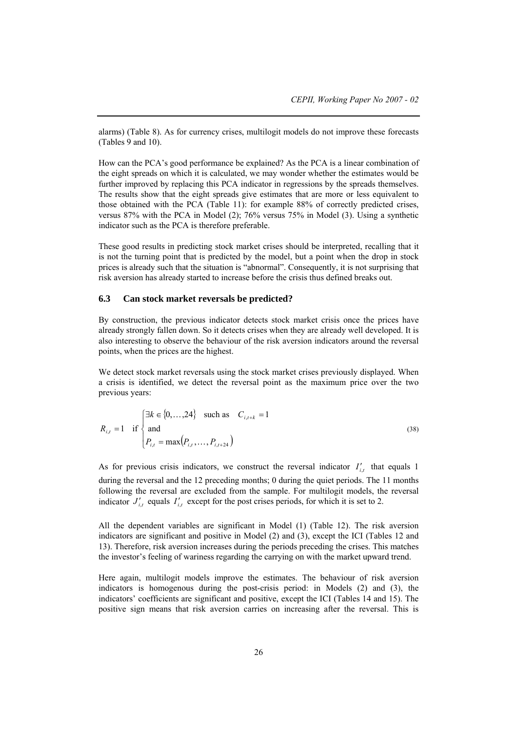alarms) (Table 8). As for currency crises, multilogit models do not improve these forecasts (Tables 9 and 10).

How can the PCA's good performance be explained? As the PCA is a linear combination of the eight spreads on which it is calculated, we may wonder whether the estimates would be further improved by replacing this PCA indicator in regressions by the spreads themselves. The results show that the eight spreads give estimates that are more or less equivalent to those obtained with the PCA (Table 11): for example 88% of correctly predicted crises, versus 87% with the PCA in Model (2); 76% versus 75% in Model (3). Using a synthetic indicator such as the PCA is therefore preferable.

These good results in predicting stock market crises should be interpreted, recalling that it is not the turning point that is predicted by the model, but a point when the drop in stock prices is already such that the situation is "abnormal". Consequently, it is not surprising that risk aversion has already started to increase before the crisis thus defined breaks out.

#### **6.3 Can stock market reversals be predicted?**

By construction, the previous indicator detects stock market crisis once the prices have already strongly fallen down. So it detects crises when they are already well developed. It is also interesting to observe the behaviour of the risk aversion indicators around the reversal points, when the prices are the highest.

We detect stock market reversals using the stock market crises previously displayed. When a crisis is identified, we detect the reversal point as the maximum price over the two previous years:

$$
R_{i,t} = 1 \quad \text{if } \begin{cases} \exists k \in \{0, \dots, 24\} & \text{such as} \quad C_{i,t+k} = 1 \\ \text{and} \\ P_{i,t} = \max(P_{i,t}, \dots, P_{i,t+24}) \end{cases} \tag{38}
$$

As for previous crisis indicators, we construct the reversal indicator  $I'_{i,t}$  that equals 1 during the reversal and the 12 preceding months; 0 during the quiet periods. The 11 months following the reversal are excluded from the sample. For multilogit models, the reversal indicator  $J'_{i,t}$  equals  $I'_{i,t}$  except for the post crises periods, for which it is set to 2.

All the dependent variables are significant in Model (1) (Table 12). The risk aversion indicators are significant and positive in Model (2) and (3), except the ICI (Tables 12 and 13). Therefore, risk aversion increases during the periods preceding the crises. This matches the investor's feeling of wariness regarding the carrying on with the market upward trend.

Here again, multilogit models improve the estimates. The behaviour of risk aversion indicators is homogenous during the post-crisis period: in Models (2) and (3), the indicators' coefficients are significant and positive, except the ICI (Tables 14 and 15). The positive sign means that risk aversion carries on increasing after the reversal. This is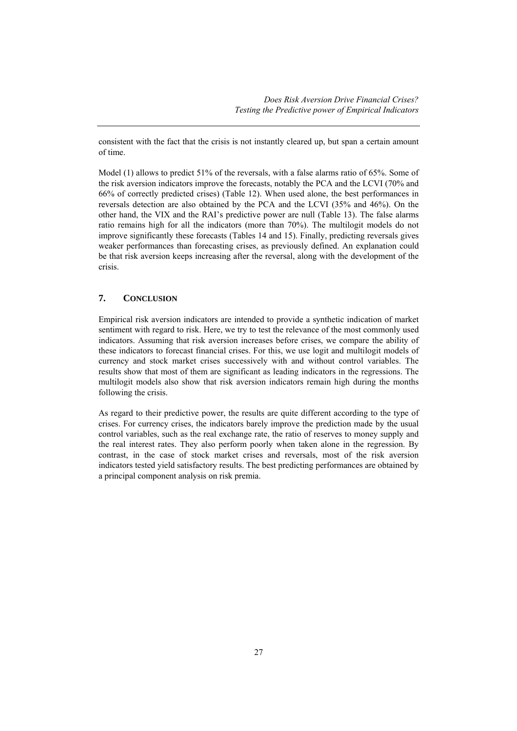consistent with the fact that the crisis is not instantly cleared up, but span a certain amount of time.

Model (1) allows to predict 51% of the reversals, with a false alarms ratio of 65%. Some of the risk aversion indicators improve the forecasts, notably the PCA and the LCVI (70% and 66% of correctly predicted crises) (Table 12). When used alone, the best performances in reversals detection are also obtained by the PCA and the LCVI (35% and 46%). On the other hand, the VIX and the RAI's predictive power are null (Table 13). The false alarms ratio remains high for all the indicators (more than 70%). The multilogit models do not improve significantly these forecasts (Tables 14 and 15). Finally, predicting reversals gives weaker performances than forecasting crises, as previously defined. An explanation could be that risk aversion keeps increasing after the reversal, along with the development of the crisis.

## **7. CONCLUSION**

Empirical risk aversion indicators are intended to provide a synthetic indication of market sentiment with regard to risk. Here, we try to test the relevance of the most commonly used indicators. Assuming that risk aversion increases before crises, we compare the ability of these indicators to forecast financial crises. For this, we use logit and multilogit models of currency and stock market crises successively with and without control variables. The results show that most of them are significant as leading indicators in the regressions. The multilogit models also show that risk aversion indicators remain high during the months following the crisis.

As regard to their predictive power, the results are quite different according to the type of crises. For currency crises, the indicators barely improve the prediction made by the usual control variables, such as the real exchange rate, the ratio of reserves to money supply and the real interest rates. They also perform poorly when taken alone in the regression. By contrast, in the case of stock market crises and reversals, most of the risk aversion indicators tested yield satisfactory results. The best predicting performances are obtained by a principal component analysis on risk premia.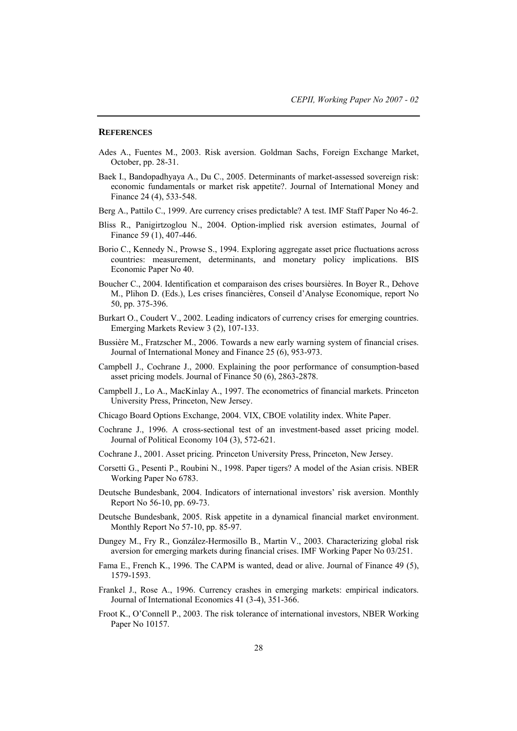#### **REFERENCES**

- Ades A., Fuentes M., 2003. Risk aversion. Goldman Sachs, Foreign Exchange Market, October, pp. 28-31.
- Baek I., Bandopadhyaya A., Du C., 2005. Determinants of market-assessed sovereign risk: economic fundamentals or market risk appetite?. Journal of International Money and Finance 24 (4), 533-548.
- Berg A., Pattilo C., 1999. Are currency crises predictable? A test. IMF Staff Paper No 46-2.
- Bliss R., Panigirtzoglou N., 2004. Option-implied risk aversion estimates, Journal of Finance 59 (1), 407-446.
- Borio C., Kennedy N., Prowse S., 1994. Exploring aggregate asset price fluctuations across countries: measurement, determinants, and monetary policy implications. BIS Economic Paper No 40.
- Boucher C., 2004. Identification et comparaison des crises boursières. In Boyer R., Dehove M., Plihon D. (Eds.), Les crises financières, Conseil d'Analyse Economique, report No 50, pp. 375-396.
- Burkart O., Coudert V., 2002. Leading indicators of currency crises for emerging countries. Emerging Markets Review 3 (2), 107-133.
- Bussière M., Fratzscher M., 2006. Towards a new early warning system of financial crises. Journal of International Money and Finance 25 (6), 953-973.
- Campbell J., Cochrane J., 2000. Explaining the poor performance of consumption-based asset pricing models. Journal of Finance 50 (6), 2863-2878.
- Campbell J., Lo A., MacKinlay A., 1997. The econometrics of financial markets. Princeton University Press, Princeton, New Jersey.
- Chicago Board Options Exchange, 2004. VIX, CBOE volatility index. White Paper.
- Cochrane J., 1996. A cross-sectional test of an investment-based asset pricing model. Journal of Political Economy 104 (3), 572-621.
- Cochrane J., 2001. Asset pricing. Princeton University Press, Princeton, New Jersey.
- Corsetti G., Pesenti P., Roubini N., 1998. Paper tigers? A model of the Asian crisis. NBER Working Paper No 6783.
- Deutsche Bundesbank, 2004. Indicators of international investors' risk aversion. Monthly Report No 56-10, pp. 69-73.
- Deutsche Bundesbank, 2005. Risk appetite in a dynamical financial market environment. Monthly Report No 57-10, pp. 85-97.
- Dungey M., Fry R., González-Hermosillo B., Martin V., 2003. Characterizing global risk aversion for emerging markets during financial crises. IMF Working Paper No 03/251.
- Fama E., French K., 1996. The CAPM is wanted, dead or alive. Journal of Finance 49 (5), 1579-1593.
- Frankel J., Rose A., 1996. Currency crashes in emerging markets: empirical indicators. Journal of International Economics 41 (3-4), 351-366.
- Froot K., O'Connell P., 2003. The risk tolerance of international investors, NBER Working Paper No 10157.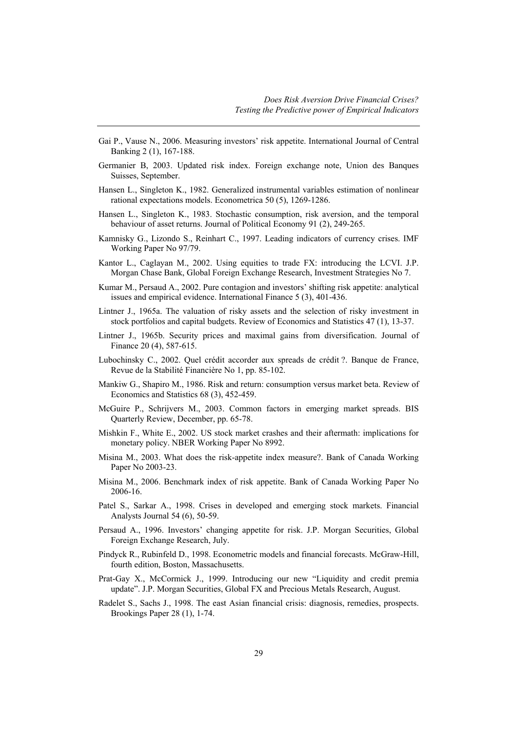- Gai P., Vause N., 2006. Measuring investors' risk appetite. International Journal of Central Banking 2 (1), 167-188.
- Germanier B, 2003. Updated risk index. Foreign exchange note, Union des Banques Suisses, September.
- Hansen L., Singleton K., 1982. Generalized instrumental variables estimation of nonlinear rational expectations models. Econometrica 50 (5), 1269-1286.
- Hansen L., Singleton K., 1983. Stochastic consumption, risk aversion, and the temporal behaviour of asset returns. Journal of Political Economy 91 (2), 249-265.
- Kamnisky G., Lizondo S., Reinhart C., 1997. Leading indicators of currency crises. IMF Working Paper No 97/79.
- Kantor L., Caglayan M., 2002. Using equities to trade FX: introducing the LCVI. J.P. Morgan Chase Bank, Global Foreign Exchange Research, Investment Strategies No 7.
- Kumar M., Persaud A., 2002. Pure contagion and investors' shifting risk appetite: analytical issues and empirical evidence. International Finance 5 (3), 401-436.
- Lintner J., 1965a. The valuation of risky assets and the selection of risky investment in stock portfolios and capital budgets. Review of Economics and Statistics 47 (1), 13-37.
- Lintner J., 1965b. Security prices and maximal gains from diversification. Journal of Finance 20 (4), 587-615.
- Lubochinsky C., 2002. Quel crédit accorder aux spreads de crédit ?. Banque de France, Revue de la Stabilité Financière No 1, pp. 85-102.
- Mankiw G., Shapiro M., 1986. Risk and return: consumption versus market beta. Review of Economics and Statistics 68 (3), 452-459.
- McGuire P., Schrijvers M., 2003. Common factors in emerging market spreads. BIS Quarterly Review, December, pp. 65-78.
- Mishkin F., White E., 2002. US stock market crashes and their aftermath: implications for monetary policy. NBER Working Paper No 8992.
- Misina M., 2003. What does the risk-appetite index measure?. Bank of Canada Working Paper No 2003-23.
- Misina M., 2006. Benchmark index of risk appetite. Bank of Canada Working Paper No 2006-16.
- Patel S., Sarkar A., 1998. Crises in developed and emerging stock markets. Financial Analysts Journal 54 (6), 50-59.
- Persaud A., 1996. Investors' changing appetite for risk. J.P. Morgan Securities, Global Foreign Exchange Research, July.
- Pindyck R., Rubinfeld D., 1998. Econometric models and financial forecasts. McGraw-Hill, fourth edition, Boston, Massachusetts.
- Prat-Gay X., McCormick J., 1999. Introducing our new "Liquidity and credit premia update". J.P. Morgan Securities, Global FX and Precious Metals Research, August.
- Radelet S., Sachs J., 1998. The east Asian financial crisis: diagnosis, remedies, prospects. Brookings Paper 28 (1), 1-74.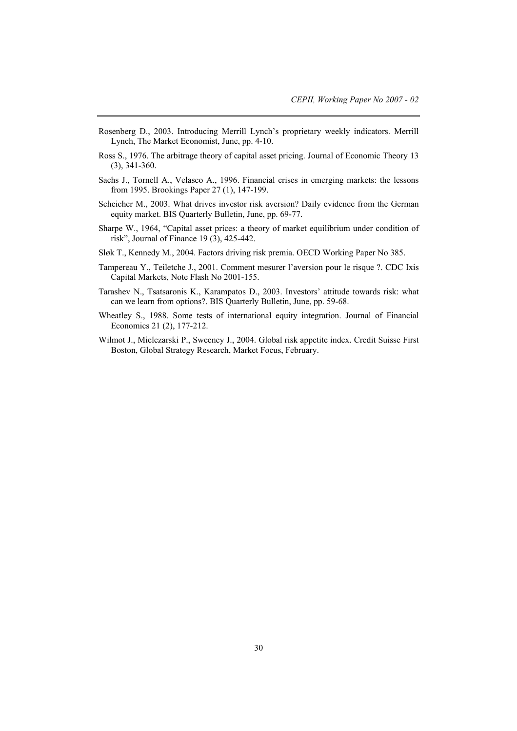- Rosenberg D., 2003. Introducing Merrill Lynch's proprietary weekly indicators. Merrill Lynch, The Market Economist, June, pp. 4-10.
- Ross S., 1976. The arbitrage theory of capital asset pricing. Journal of Economic Theory 13 (3), 341-360.
- Sachs J., Tornell A., Velasco A., 1996. Financial crises in emerging markets: the lessons from 1995. Brookings Paper 27 (1), 147-199.
- Scheicher M., 2003. What drives investor risk aversion? Daily evidence from the German equity market. BIS Quarterly Bulletin, June, pp. 69-77.
- Sharpe W., 1964, "Capital asset prices: a theory of market equilibrium under condition of risk", Journal of Finance 19 (3), 425-442.
- Sløk T., Kennedy M., 2004. Factors driving risk premia. OECD Working Paper No 385.
- Tampereau Y., Teiletche J., 2001. Comment mesurer l'aversion pour le risque ?. CDC Ixis Capital Markets, Note Flash No 2001-155.
- Tarashev N., Tsatsaronis K., Karampatos D., 2003. Investors' attitude towards risk: what can we learn from options?. BIS Quarterly Bulletin, June, pp. 59-68.
- Wheatley S., 1988. Some tests of international equity integration. Journal of Financial Economics 21 (2), 177-212.
- Wilmot J., Mielczarski P., Sweeney J., 2004. Global risk appetite index. Credit Suisse First Boston, Global Strategy Research, Market Focus, February.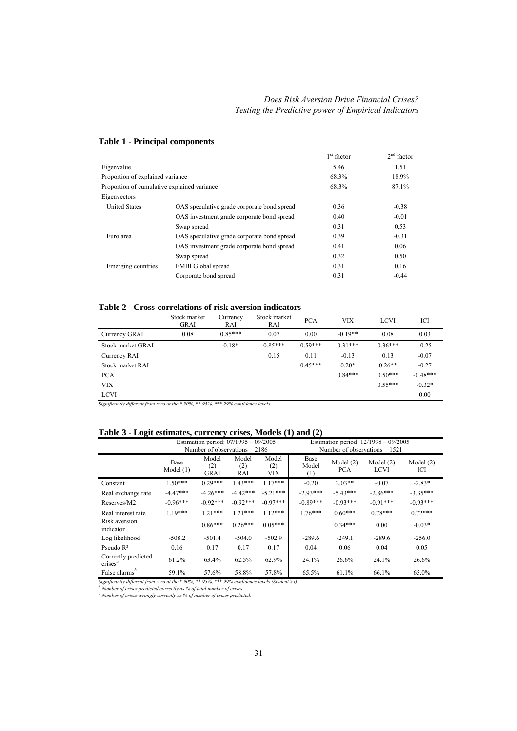|                                             |                                             | $1st$ factor | $2nd$ factor |
|---------------------------------------------|---------------------------------------------|--------------|--------------|
| Eigenvalue                                  |                                             | 5.46         | 1.51         |
| Proportion of explained variance            |                                             | 68.3%        | 18.9%        |
| Proportion of cumulative explained variance |                                             | 68.3%        | 87.1%        |
| Eigenvectors                                |                                             |              |              |
| <b>United States</b>                        | OAS speculative grade corporate bond spread | 0.36         | $-0.38$      |
|                                             | OAS investment grade corporate bond spread  | 0.40         | $-0.01$      |
|                                             | Swap spread                                 | 0.31         | 0.53         |
| Euro area                                   | OAS speculative grade corporate bond spread | 0.39         | $-0.31$      |
|                                             | OAS investment grade corporate bond spread  | 0.41         | 0.06         |
|                                             | Swap spread                                 | 0.32         | 0.50         |
| Emerging countries                          | <b>EMBI</b> Global spread                   | 0.31         | 0.16         |
|                                             | Corporate bond spread                       | 0.31         | $-0.44$      |

## **Table 1 - Principal components**

#### **Table 2 - Cross-correlations of risk aversion indicators**

|                   | Stock market<br>GRAI | Currency<br>RAI | Stock market<br>RAI | <b>PCA</b> | <b>VIX</b> | <b>LCVI</b> | ICI        |
|-------------------|----------------------|-----------------|---------------------|------------|------------|-------------|------------|
| Currency GRAI     | 0.08                 | $0.85***$       | 0.07                | 0.00       | $-0.19**$  | 0.08        | 0.03       |
| Stock market GRAI |                      | $0.18*$         | $0.85***$           | $0.59***$  | $0.31***$  | $0.36***$   | $-0.25$    |
| Currency RAI      |                      |                 | 0.15                | 0.11       | $-0.13$    | 0.13        | $-0.07$    |
| Stock market RAI  |                      |                 |                     | $0.45***$  | $0.20*$    | $0.26**$    | $-0.27$    |
| <b>PCA</b>        |                      |                 |                     |            | $0.84***$  | $0.50***$   | $-0.48***$ |
| <b>VIX</b>        |                      |                 |                     |            |            | $0.55***$   | $-0.32*$   |
| <b>LCVI</b>       |                      |                 |                     |            |            |             | 0.00       |

*Significantly different from zero at the* \* *90%,* \*\* *95%,* \*\*\* *99% confidence levels.*

## **Table 3 - Logit estimates, currency crises, Models (1) and (2)**

|                                                            |                  | Estimation period: $07/1995 - 09/2005$<br>Number of observations $= 2186$ |                     |                            |                      |                           | Estimation period: $12/1998 - 09/2005$<br>Number of observations $= 1521$ |                    |  |  |
|------------------------------------------------------------|------------------|---------------------------------------------------------------------------|---------------------|----------------------------|----------------------|---------------------------|---------------------------------------------------------------------------|--------------------|--|--|
|                                                            | Base<br>Model(1) | Model<br>(2)<br><b>GRAI</b>                                               | Model<br>(2)<br>RAI | Model<br>(2)<br><b>VIX</b> | Base<br>Model<br>(1) | Model $(2)$<br><b>PCA</b> | Model $(2)$<br><b>LCVI</b>                                                | Model $(2)$<br>ICI |  |  |
| Constant                                                   | $1.50***$        | $0.29***$                                                                 | $1.43***$           | $1.17***$                  | $-0.20$              | $2.03**$                  | $-0.07$                                                                   | $-2.83*$           |  |  |
| Real exchange rate                                         | $-4.47***$       | $-4.26***$                                                                | $-4.42***$          | $-5.21***$                 | $-2.93***$           | $-5.43***$                | $-2.86***$                                                                | $-3.35***$         |  |  |
| Reserves/M2                                                | $-0.96***$       | $-0.92***$                                                                | $-0.92***$          | $-0.97***$                 | $-0.89***$           | $-0.93***$                | $-0.91***$                                                                | $-0.93***$         |  |  |
| Real interest rate                                         | $1.19***$        | $1.21***$                                                                 | $1.21***$           | $112***$                   | $1.76***$            | $0.60***$                 | $0.78***$                                                                 | $0.72***$          |  |  |
| Risk aversion<br>indicator                                 |                  | $0.86***$                                                                 | $0.26***$           | $0.05***$                  |                      | $0.34***$                 | 0.00                                                                      | $-0.03*$           |  |  |
| Log likelihood                                             | $-508.2$         | $-501.4$                                                                  | $-504.0$            | $-502.9$                   | $-289.6$             | $-249.1$                  | $-289.6$                                                                  | $-256.0$           |  |  |
| Pseudo $R^2$                                               | 0.16             | 0.17                                                                      | 0.17                | 0.17                       | 0.04                 | 0.06                      | 0.04                                                                      | 0.05               |  |  |
| Correctly predicted<br>$c$ rises <sup><math>a</math></sup> | 61.2%            | 63.4%                                                                     | 62.5%               | 62.9%                      | 24.1%                | 26.6%                     | 24.1%                                                                     | 26.6%              |  |  |
| False alarms <sup>b</sup>                                  | 59.1%            | 57.6%                                                                     | 58.8%               | 57.8%                      | 65.5%                | 61.1%                     | 66.1%                                                                     | 65.0%              |  |  |

Significantly different from zero at the \* 90%, \*\* 95%, \*\*\* 99% confidence levels (Student's t).<br><sup>a</sup> Number of crises predicted correctly as % of total number of crises.<br><sup>b</sup> Number of crises wrongly correctly as % of numbe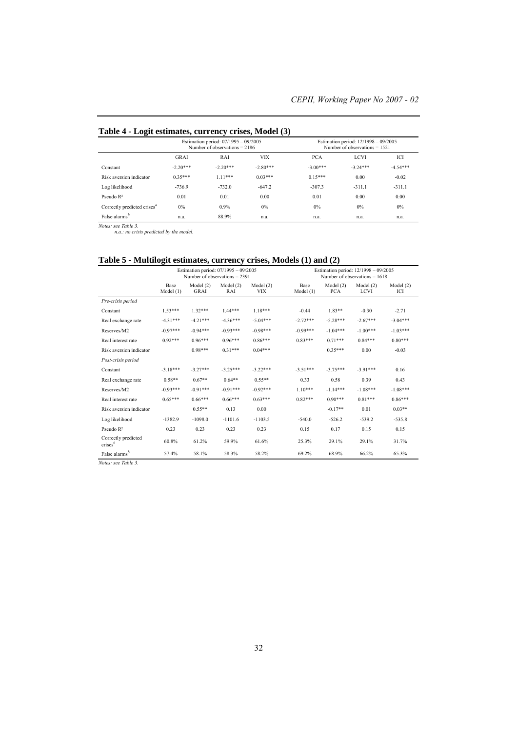#### **Table 4 - Logit estimates, currency crises, Model (3)**

| $-0.5$                                  |            |                                                                           | $\cdots$   |            |                                                                         |            |
|-----------------------------------------|------------|---------------------------------------------------------------------------|------------|------------|-------------------------------------------------------------------------|------------|
|                                         |            | Estimation period: $07/1995 - 09/2005$<br>Number of observations $= 2186$ |            |            | Estimation period: 12/1998 - 09/2005<br>Number of observations $= 1521$ |            |
|                                         | GRAI       | RAI                                                                       | VIX        | <b>PCA</b> | <b>LCVI</b>                                                             | IСI        |
| Constant                                | $-2.20***$ | $-2.20***$                                                                | $-2.80***$ | $-3.00***$ | $-3.24***$                                                              | $-4.54***$ |
| Risk aversion indicator                 | $0.35***$  | $111***$                                                                  | $0.03***$  | $0.15***$  | 0.00                                                                    | $-0.02$    |
| Log likelihood                          | $-736.9$   | $-732.0$                                                                  | $-647.2$   | $-307.3$   | $-311.1$                                                                | $-311.1$   |
| Pseudo $\mathbb{R}^2$                   | 0.01       | 0.01                                                                      | 0.00       | 0.01       | 0.00                                                                    | 0.00       |
| Correctly predicted crises <sup>a</sup> | $0\%$      | 0.9%                                                                      | $0\%$      | 0%         | $0\%$                                                                   | $0\%$      |
| False alarms <sup>b</sup>               | n.a.       | 88.9%                                                                     | n.a.       | n.a.       | n.a.                                                                    | n.a.       |

*Notes: see Table 3. n.a.: no crisis predicted by the model.*

## **Table 5 - Multilogit estimates, currency crises, Models (1) and (2)**

|                                       |                     |                            | Estimation period: 07/1995 - 09/2005<br>Number of observations $= 2391$ |                        |                  |                           | Estimation period: 12/1998 - 09/2005<br>Number of observations $= 1618$ |                    |
|---------------------------------------|---------------------|----------------------------|-------------------------------------------------------------------------|------------------------|------------------|---------------------------|-------------------------------------------------------------------------|--------------------|
|                                       | Base<br>Model $(1)$ | Model $(2)$<br><b>GRAI</b> | Model $(2)$<br>RAI                                                      | Model(2)<br><b>VIX</b> | Base<br>Model(1) | Model $(2)$<br><b>PCA</b> | Model $(2)$<br><b>LCVI</b>                                              | Model $(2)$<br>ICI |
| Pre-crisis period                     |                     |                            |                                                                         |                        |                  |                           |                                                                         |                    |
| Constant                              | $1.53***$           | $132***$                   | $1.44***$                                                               | $118***$               | $-0.44$          | $183**$                   | $-0.30$                                                                 | $-2.71$            |
| Real exchange rate                    | $-4.31***$          | $-421***$                  | $-4.36***$                                                              | $-5.04***$             | $-2.72***$       | $-5.28***$                | $-2.67***$                                                              | $-3.04***$         |
| Reserves/M2                           | $-0.97***$          | $-0.94***$                 | $-0.93***$                                                              | $-0.98***$             | $-0.99***$       | $-1.04***$                | $-1.00***$                                                              | $-1.03***$         |
| Real interest rate                    | $0.92***$           | $0.96***$                  | $0.96***$                                                               | $0.86***$              | $0.83***$        | $0.71***$                 | $0.84***$                                                               | $0.80***$          |
| Risk aversion indicator               |                     | $0.98***$                  | $0.31***$                                                               | $0.04***$              |                  | $0.35***$                 | 0.00                                                                    | $-0.03$            |
| Post-crisis period                    |                     |                            |                                                                         |                        |                  |                           |                                                                         |                    |
| Constant                              | $-3.18***$          | $-3.27***$                 | $-3.25***$                                                              | $-3.22***$             | $-3.51***$       | $-375***$                 | $-391***$                                                               | 0.16               |
| Real exchange rate                    | $0.58**$            | $0.67**$                   | $0.64**$                                                                | $0.55**$               | 0.33             | 0.58                      | 0.39                                                                    | 0.43               |
| Reserves/M2                           | $-0.93***$          | $-0.91***$                 | $-0.91***$                                                              | $-0.92***$             | $110***$         | $-114***$                 | $-1.08***$                                                              | $-1.08***$         |
| Real interest rate                    | $0.65***$           | $0.66***$                  | $0.66***$                                                               | $0.63***$              | $0.82***$        | $0.90***$                 | $0.81***$                                                               | $0.86***$          |
| Risk aversion indicator               |                     | $0.55**$                   | 0.13                                                                    | 0.00                   |                  | $-0.17**$                 | 0.01                                                                    | $0.03**$           |
| Log likelihood                        | $-1382.9$           | $-1098.0$                  | $-11016$                                                                | $-1103.5$              | $-540.0$         | $-526.2$                  | $-539.2$                                                                | $-535.8$           |
| Pseudo $R^2$                          | 0.23                | 0.23                       | 0.23                                                                    | 0.23                   | 0.15             | 0.17                      | 0.15                                                                    | 0.15               |
| Correctly predicted<br>$c$ rises $^a$ | 60.8%               | 61.2%                      | 59.9%                                                                   | 61.6%                  | 25.3%            | 29.1%                     | 29.1%                                                                   | 31.7%              |
| False alarms <sup>b</sup>             | 57.4%               | 58.1%                      | 58.3%                                                                   | 58.2%                  | 69.2%            | 68.9%                     | 66.2%                                                                   | 65.3%              |

*Notes: see Table 3.*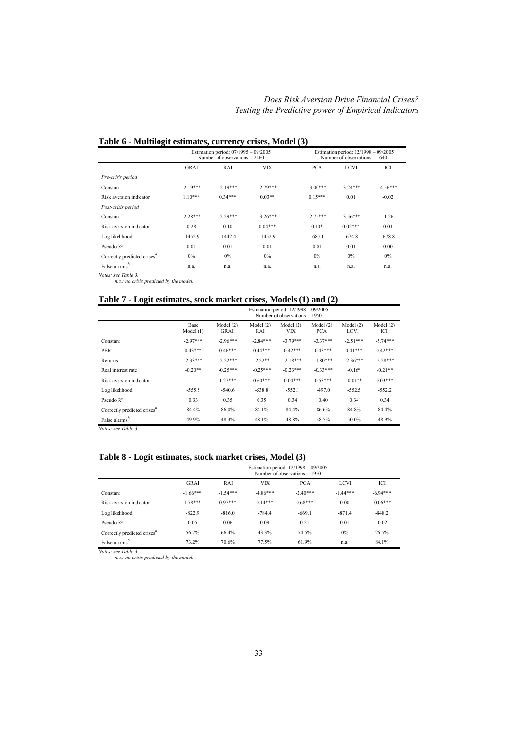## **Table 6 - Multilogit estimates, currency crises, Model (3)**

| ັ                                       | Estimation period: 07/1995 - 09/2005<br>Number of observations $= 2460$ |                   |            | $\sim$<br>Estimation period: 12/1998 - 09/2005<br>Number of observations $= 1640$ |             |            |  |
|-----------------------------------------|-------------------------------------------------------------------------|-------------------|------------|-----------------------------------------------------------------------------------|-------------|------------|--|
|                                         | GRAI                                                                    | <b>VIX</b><br>RAI |            |                                                                                   | <b>LCVI</b> | ICI        |  |
| Pre-crisis period                       |                                                                         |                   |            |                                                                                   |             |            |  |
| Constant                                | $-219***$                                                               | $-2.19***$        | $-2.79***$ | $-3.00***$                                                                        | $-3.24***$  | $-4.56***$ |  |
| Risk aversion indicator                 | $1.10***$                                                               | $0.34***$         | $0.03**$   | $0.15***$                                                                         | 0.01        | $-0.02$    |  |
| Post-crisis period                      |                                                                         |                   |            |                                                                                   |             |            |  |
| Constant                                | $-2.28***$                                                              | $-2.29***$        | $-3.26***$ | $-2.75***$                                                                        | $-3.56***$  | $-1.26$    |  |
| Risk aversion indicator                 | 0.28                                                                    | 0.10              | $0.04***$  | $0.10*$                                                                           | $0.02***$   | 0.01       |  |
| Log likelihood                          | $-1452.9$                                                               | $-1442.4$         | $-1452.9$  | $-680.1$                                                                          | $-674.8$    | $-678.8$   |  |
| Pseudo $R^2$                            | 0.01                                                                    | 0.01              | 0.01       | 0.01                                                                              | 0.01        | 0.00       |  |
| Correctly predicted crises <sup>a</sup> | $0\%$                                                                   | $0\%$             | $0\%$      | $0\%$                                                                             | $0\%$       | $0\%$      |  |
| False alarms <sup>b</sup>               | n.a.                                                                    | n.a.              | n.a.       | n.a.                                                                              | n.a.        | n.a.       |  |

*Notes: see Table 3. n.a.: no crisis predicted by the model.*

## **Table 7 - Logit estimates, stock market crises, Models (1) and (2)**

|                                         |                  |                            |                    | Estimation period: $12/1998 - 09/2005$<br>Number of observations $= 1950$ |                           |                     |                    |
|-----------------------------------------|------------------|----------------------------|--------------------|---------------------------------------------------------------------------|---------------------------|---------------------|--------------------|
|                                         | Base<br>Model(1) | Model $(2)$<br><b>GRAI</b> | Model $(2)$<br>RAI | Model $(2)$<br>VIX                                                        | Model $(2)$<br><b>PCA</b> | Model $(2)$<br>LCVI | Model $(2)$<br>ICI |
| Constant                                | $-2.97***$       | $-2.96***$                 | $-2.84***$         | $-379***$                                                                 | $-3.37***$                | $-2.51***$          | $-5.74***$         |
| PER                                     | $0.43***$        | $0.46***$                  | $0.44***$          | $0.42***$                                                                 | $0.43***$                 | $0.41***$           | $0.42***$          |
| Returns                                 | $-2.33***$       | $-2.22***$                 | $-2.22**$          | $-2.18***$                                                                | $-1.80***$                | $-2.36***$          | $-2.28***$         |
| Real interest rate                      | $-0.20**$        | $-0.25***$                 | $-0.25***$         | $-0.23***$                                                                | $-0.33***$                | $-0.16*$            | $-0.21**$          |
| Risk aversion indicator                 |                  | $127***$                   | $0.60***$          | $0.04***$                                                                 | $0.53***$                 | $-0.01**$           | $0.03***$          |
| Log likelihood                          | $-555.5$         | $-540.6$                   | $-538.8$           | $-552.1$                                                                  | $-497.0$                  | $-552.5$            | $-552.2$           |
| Pseudo $R^2$                            | 0.33             | 0.35                       | 0.35               | 0.34                                                                      | 0.40                      | 0.34                | 0.34               |
| Correctly predicted crises <sup>a</sup> | 84.4%            | 86.0%                      | 84.1%              | 84.4%                                                                     | 86.6%                     | 84.8%               | 84.4%              |
| False alarms <sup>b</sup>               | 49.9%            | 48.3%                      | 48.1%              | 48.8%                                                                     | 48.5%                     | 50.0%               | 48.9%              |

*Notes: see Table 3.*

#### **Table 8 - Logit estimates, stock market crises, Model (3)**

|                                         |            |            |            | Estimation period: 12/1998 - 09/2005<br>Number of observations $= 1950$ |             |            |
|-----------------------------------------|------------|------------|------------|-------------------------------------------------------------------------|-------------|------------|
|                                         | GRAI       | RAI        | <b>VIX</b> | <b>PCA</b>                                                              | <b>LCVI</b> | ICI        |
| Constant                                | $-1.66***$ | $-1.54***$ | $-4.86***$ | $-2.40***$                                                              | $-1.44***$  | $-6.94***$ |
| Risk aversion indicator                 | $178***$   | $0.97***$  | $0.14***$  | $0.68***$                                                               | 0.00        | $-0.06***$ |
| Log likelihood                          | $-822.9$   | $-816.0$   | $-784.4$   | $-669.1$                                                                | $-871.4$    | $-848.2$   |
| Pseudo $\mathbb{R}^2$                   | 0.05       | 0.06       | 0.09       | 0.21                                                                    | 0.01        | $-0.02$    |
| Correctly predicted crises <sup>a</sup> | 56.7%      | 66.4%      | 43.3%      | 74.5%                                                                   | 0%          | 26.5%      |
| False alarms <sup>b</sup>               | 73 2%      | 70.6%      | 77.5%      | 61.9%                                                                   | n.a.        | 84.1%      |

*Notes: see Table 3. n.a.: no crisis predicted by the model.*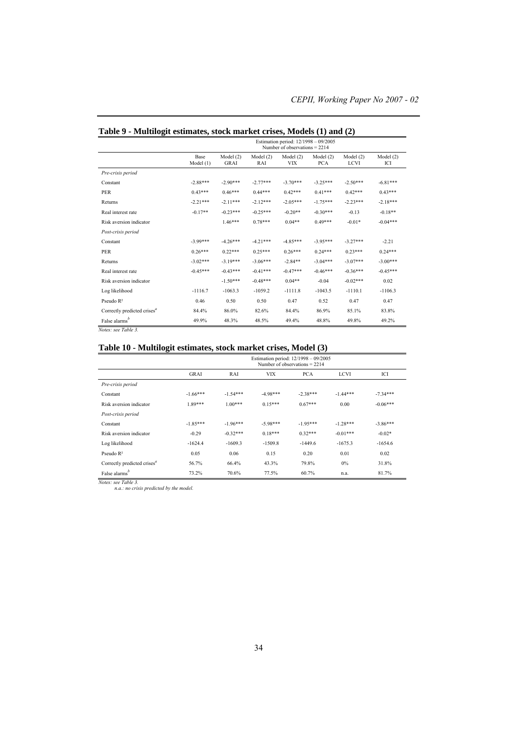## **Table 9 - Multilogit estimates, stock market crises, Models (1) and (2)**

|                                         | Estimation period: 12/1998 - 09/2005<br>Number of observations $= 2214$ |                            |                    |                           |                           |                          |                  |  |  |  |  |
|-----------------------------------------|-------------------------------------------------------------------------|----------------------------|--------------------|---------------------------|---------------------------|--------------------------|------------------|--|--|--|--|
|                                         | Base<br>Model $(1)$                                                     | Model $(2)$<br><b>GRAI</b> | Model $(2)$<br>RAI | Model $(2)$<br><b>VIX</b> | Model $(2)$<br><b>PCA</b> | Model (2)<br><b>LCVI</b> | Model (2)<br>ICI |  |  |  |  |
| Pre-crisis period                       |                                                                         |                            |                    |                           |                           |                          |                  |  |  |  |  |
| Constant                                | $-2.88***$                                                              | $-290***$                  | $-2.77***$         | $-3.70***$                | $-3.25***$                | $-2.50***$               | $-6.81***$       |  |  |  |  |
| <b>PER</b>                              | $0.43***$                                                               | $0.46***$                  | $0.44***$          | $0.42***$                 | $0.41***$                 | $0.42***$                | $0.43***$        |  |  |  |  |
| Returns                                 | $-2.21***$                                                              | $-2.11***$                 | $-212***$          | $-2.05***$                | $-1.75***$                | $-2.23***$               | $-2.18***$       |  |  |  |  |
| Real interest rate                      | $-0.17**$                                                               | $-0.23***$                 | $-0.25***$         | $-0.20**$                 | $-0.30***$                | $-0.13$                  | $-0.18**$        |  |  |  |  |
| Risk aversion indicator                 |                                                                         | $1.46***$                  | $0.78***$          | $0.04**$                  | $0.49***$                 | $-0.01*$                 | $-0.04***$       |  |  |  |  |
| Post-crisis period                      |                                                                         |                            |                    |                           |                           |                          |                  |  |  |  |  |
| Constant                                | $-3.99***$                                                              | $-4.26***$                 | $-4.21***$         | $-4.85***$                | $-3.95***$                | $-3.27***$               | $-2.21$          |  |  |  |  |
| <b>PER</b>                              | $0.26***$                                                               | $0.22***$                  | $0.25***$          | $0.26***$                 | $0.24***$                 | $0.23***$                | $0.24***$        |  |  |  |  |
| Returns                                 | $-3.02***$                                                              | $-3.19***$                 | $-3.06***$         | $-2.84**$                 | $-3.04***$                | $-3.07***$               | $-3.00***$       |  |  |  |  |
| Real interest rate                      | $-0.45***$                                                              | $-0.43***$                 | $-0.41***$         | $-0.47***$                | $-0.46***$                | $-0.36***$               | $-0.45***$       |  |  |  |  |
| Risk aversion indicator                 |                                                                         | $-1.50***$                 | $-0.48***$         | $0.04**$                  | $-0.04$                   | $-0.02***$               | 0.02             |  |  |  |  |
| Log likelihood                          | $-1116.7$                                                               | $-1063.3$                  | $-10592$           | $-1111.8$                 | $-1043.5$                 | $-1110.1$                | $-1106.3$        |  |  |  |  |
| Pseudo $R^2$                            | 0.46                                                                    | 0.50                       | 0.50               | 0.47                      | 0.52                      | 0.47                     | 0.47             |  |  |  |  |
| Correctly predicted crises <sup>a</sup> | 84.4%                                                                   | 86.0%                      | 82.6%              | 84.4%                     | 86.9%                     | 85.1%                    | 83.8%            |  |  |  |  |
| False alarms <sup>b</sup>               | 49.9%                                                                   | 48.3%                      | 48.5%              | 49.4%                     | 48.8%                     | 49.8%                    | 49.2%            |  |  |  |  |

## **Table 10 - Multilogit estimates, stock market crises, Model (3)**

|                                         | Estimation period: 12/1998 - 09/2005<br>Number of observations $= 2214$ |            |            |            |             |            |  |
|-----------------------------------------|-------------------------------------------------------------------------|------------|------------|------------|-------------|------------|--|
|                                         | GRAI                                                                    | RAI        | VIX        | <b>PCA</b> | <b>LCVI</b> | ICI        |  |
| Pre-crisis period                       |                                                                         |            |            |            |             |            |  |
| Constant                                | $-1.66***$                                                              | $-1.54***$ | $-4.98***$ | $-2.38***$ | $-1.44***$  | $-7.34***$ |  |
| Risk aversion indicator                 | $1.89***$                                                               | $1.00***$  | $0.15***$  | $0.67***$  | 0.00        | $-0.06***$ |  |
| Post-crisis period                      |                                                                         |            |            |            |             |            |  |
| Constant                                | $-1.85***$                                                              | $-1.96***$ | $-5.98***$ | $-1.95***$ | $-1.28***$  | $-3.86***$ |  |
| Risk aversion indicator                 | $-0.29$                                                                 | $-0.32***$ | $0.18***$  | $0.32***$  | $-0.01***$  | $-0.02*$   |  |
| Log likelihood                          | $-1624.4$                                                               | $-1609.3$  | $-1509.8$  | $-1449.6$  | $-1675.3$   | $-1654.6$  |  |
| Pseudo $R^2$                            | 0.05                                                                    | 0.06       | 0.15       | 0.20       | 0.01        | 0.02       |  |
| Correctly predicted crises <sup>a</sup> | 56.7%                                                                   | 66.4%      | 43.3%      | 79.8%      | $0\%$       | 31.8%      |  |
| False alarms <sup>b</sup>               | 73.2%                                                                   | 70.6%      | 77.5%      | 60.7%      | n.a.        | 81.7%      |  |

*Notes: see Table 3. n.a.: no crisis predicted by the model.*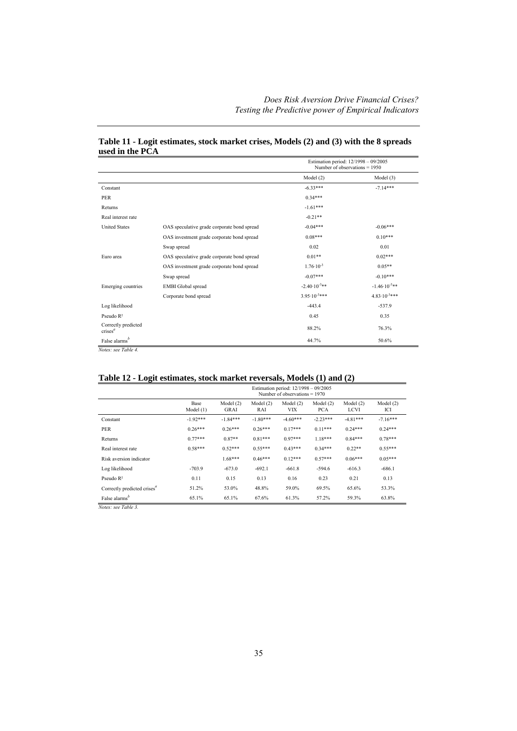|                                       |                                             | Estimation period: $12/1998 - 09/2005$<br>Number of observations $= 1950$ |                          |
|---------------------------------------|---------------------------------------------|---------------------------------------------------------------------------|--------------------------|
|                                       |                                             | Model(2)                                                                  | Model $(3)$              |
| Constant                              |                                             | $-6.33***$                                                                | $-714***$                |
| PER                                   |                                             | $0.34***$                                                                 |                          |
| Returns                               |                                             | $-1.61***$                                                                |                          |
| Real interest rate                    |                                             | $-0.21**$                                                                 |                          |
| <b>United States</b>                  | OAS speculative grade corporate bond spread | $-0.04***$                                                                | $-0.06***$               |
|                                       | OAS investment grade corporate bond spread  | $0.08***$                                                                 | $0.10***$                |
|                                       | Swap spread                                 | 0.02                                                                      | 0.01                     |
| Euro area                             | OAS speculative grade corporate bond spread | $0.01**$                                                                  | $0.02***$                |
|                                       | OAS investment grade corporate bond spread  | $1.76 \cdot 10^{-3}$                                                      | $0.05**$                 |
|                                       | Swap spread                                 | $-0.07***$                                                                | $-0.10***$               |
| Emerging countries                    | <b>EMBI</b> Global spread                   | $-2.40 \cdot 10^{-3}$ **                                                  | $-1.46 \cdot 10^{-3}$ ** |
|                                       | Corporate bond spread                       | $3.95 \cdot 10^{-3***}$                                                   | $4.83 \cdot 10^{-3}$ *** |
| Log likelihood                        |                                             | $-443.4$                                                                  | $-537.9$                 |
| Pseudo $R^2$                          |                                             | 0.45                                                                      | 0.35                     |
| Correctly predicted<br>$c$ rises $^a$ |                                             | 88.2%                                                                     | 76.3%                    |
| False alarms <sup>b</sup>             |                                             | 44.7%                                                                     | 50.6%                    |
| Notes: see Table 4.                   |                                             |                                                                           |                          |

**Table 11 - Logit estimates, stock market crises, Models (2) and (3) with the 8 spreads used in the PCA**

|  | Table 12 - Logit estimates, stock market reversals, Models (1) and (2) |  |  |
|--|------------------------------------------------------------------------|--|--|
|  |                                                                        |  |  |

|                                         | Estimation period: 12/1998 - 09/2005<br>Number of observations $= 1970$ |                     |                    |                         |                           |                            |                    |
|-----------------------------------------|-------------------------------------------------------------------------|---------------------|--------------------|-------------------------|---------------------------|----------------------------|--------------------|
|                                         | Base<br>Model(1)                                                        | Model $(2)$<br>GRAI | Model $(2)$<br>RAI | Model (2)<br><b>VIX</b> | Model $(2)$<br><b>PCA</b> | Model $(2)$<br><b>LCVI</b> | Model $(2)$<br>ICI |
| Constant                                | $-1.92***$                                                              | $-1.84***$          | $-1.80***$         | $-4.60***$              | $-2.23***$                | $-4.81***$                 | $-7.16***$         |
| PER                                     | $0.26***$                                                               | $0.26***$           | $0.26***$          | $0.17***$               | $0.11***$                 | $0.24***$                  | $0.24***$          |
| Returns                                 | $0.77***$                                                               | $0.87**$            | $0.81***$          | $0.97***$               | $118***$                  | $0.84***$                  | $0.78***$          |
| Real interest rate                      | $0.58***$                                                               | $0.52***$           | $0.55***$          | $0.43***$               | $0.34***$                 | $0.22**$                   | $0.55***$          |
| Risk aversion indicator                 |                                                                         | $168***$            | $0.46***$          | $0.12***$               | $0.57***$                 | $0.06***$                  | $0.05***$          |
| Log likelihood                          | $-703.9$                                                                | $-673.0$            | $-692.1$           | $-661.8$                | $-594.6$                  | $-616.3$                   | $-686.1$           |
| Pseudo $R^2$                            | 0.11                                                                    | 0.15                | 0.13               | 0.16                    | 0.23                      | 0.21                       | 0.13               |
| Correctly predicted crises <sup>a</sup> | 51.2%                                                                   | 53.0%               | 48.8%              | 59.0%                   | 69.5%                     | 65.6%                      | 53.3%              |
| False alarms <sup>b</sup>               | 65.1%                                                                   | 65.1%               | 67.6%              | 61.3%                   | 57.2%                     | 59.3%                      | 63.8%              |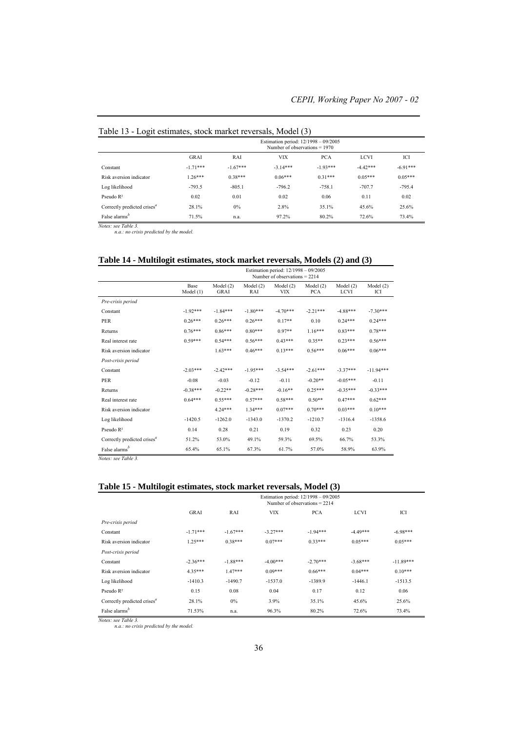#### Table 13 - Logit estimates, stock market reversals, Model (3)

|                                         | Estimation period: 12/1998 - 09/2005<br>Number of observations $= 1970$ |            |            |            |             |            |  |
|-----------------------------------------|-------------------------------------------------------------------------|------------|------------|------------|-------------|------------|--|
|                                         | GRAI                                                                    | RAI        | <b>VIX</b> | <b>PCA</b> | <b>LCVI</b> | ICI        |  |
| Constant                                | $-171***$                                                               | $-1.67***$ | $-3.14***$ | $-193***$  | $-4.42***$  | $-6.91***$ |  |
| Risk aversion indicator                 | $126***$                                                                | $0.38***$  | $0.06***$  | $0.31***$  | $0.05***$   | $0.05***$  |  |
| Log likelihood                          | $-793.5$                                                                | $-805.1$   | $-796.2$   | $-758.1$   | $-707.7$    | $-795.4$   |  |
| Pseudo $\mathbb{R}^2$                   | 0.02                                                                    | 0.01       | 0.02       | 0.06       | 0.11        | 0.02       |  |
| Correctly predicted crises <sup>a</sup> | 28.1%                                                                   | $0\%$      | 2.8%       | 35.1%      | 45.6%       | 25.6%      |  |
| False alarms <sup>b</sup>               | 71.5%                                                                   | n.a.       | 97.2%      | 80.2%      | 72.6%       | 73.4%      |  |

*Notes: see Table 3. n.a.: no crisis predicted by the model.*

## **Table 14 - Multilogit estimates, stock market reversals, Models (2) and (3)**

|                                         | Estimation period: 12/1998 - 09/2005<br>Number of observations $= 2214$ |                            |                    |                           |                           |                          |                    |
|-----------------------------------------|-------------------------------------------------------------------------|----------------------------|--------------------|---------------------------|---------------------------|--------------------------|--------------------|
|                                         | Base<br>Model (1)                                                       | Model $(2)$<br><b>GRAI</b> | Model $(2)$<br>RAI | Model $(2)$<br><b>VIX</b> | Model $(2)$<br><b>PCA</b> | Model (2)<br><b>LCVI</b> | Model $(2)$<br>ICI |
| Pre-crisis period                       |                                                                         |                            |                    |                           |                           |                          |                    |
| Constant                                | $-1.92***$                                                              | $-1.84***$                 | $-1.80***$         | $-4.70***$                | $-2.21***$                | $-4.88***$               | $-7.30***$         |
| <b>PER</b>                              | $0.26***$                                                               | $0.26***$                  | $0.26***$          | $0.17**$                  | 010                       | $0.24***$                | $0.24***$          |
| Returns                                 | $0.76***$                                                               | $0.86***$                  | $0.80***$          | $0.97**$                  | $116***$                  | $0.83***$                | $0.78***$          |
| Real interest rate                      | $0.59***$                                                               | $0.54***$                  | $0.56***$          | $0.43***$                 | $0.35**$                  | $0.23***$                | $0.56***$          |
| Risk aversion indicator                 |                                                                         | $163***$                   | $0.46***$          | $0.13***$                 | $0.56***$                 | $0.06***$                | $0.06***$          |
| Post-crisis period                      |                                                                         |                            |                    |                           |                           |                          |                    |
| Constant                                | $-2.03***$                                                              | $-2.42***$                 | $-1.95***$         | $-3.54***$                | $-2.61***$                | $-3.37***$               | $-11.94***$        |
| PER                                     | $-0.08$                                                                 | $-0.03$                    | $-0.12$            | $-0.11$                   | $-0.20**$                 | $-0.05***$               | $-0.11$            |
| Returns                                 | $-0.38***$                                                              | $-0.22**$                  | $-0.28***$         | $-0.16**$                 | $0.25***$                 | $-0.35***$               | $-0.33***$         |
| Real interest rate                      | $0.64***$                                                               | $0.55***$                  | $0.57***$          | $0.58***$                 | $0.50**$                  | $0.47***$                | $0.62***$          |
| Risk aversion indicator                 |                                                                         | $4.24***$                  | $1.34***$          | $0.07***$                 | $0.70***$                 | $0.03***$                | $0.10***$          |
| Log likelihood                          | $-1420.5$                                                               | $-12620$                   | $-13430$           | $-13702$                  | $-12107$                  | $-13164$                 | $-13586$           |
| Pseudo $\mathbb{R}^2$                   | 014                                                                     | 0.28                       | 0.21               | 0.19                      | 0.32                      | 0.23                     | 0.20               |
| Correctly predicted crises <sup>a</sup> | 51.2%                                                                   | 53.0%                      | 49.1%              | 59.3%                     | 69.5%                     | 66.7%                    | 53.3%              |
| False alarms <sup>b</sup>               | 65.4%                                                                   | 65.1%                      | 67.3%              | 61.7%                     | 57.0%                     | 58.9%                    | 63.9%              |

*Notes: see Table 3.*

#### **Table 15 - Multilogit estimates, stock market reversals, Model (3)**

|                                         | Estimation period: 12/1998 - 09/2005<br>Number of observations $= 2214$ |            |            |            |             |             |  |
|-----------------------------------------|-------------------------------------------------------------------------|------------|------------|------------|-------------|-------------|--|
|                                         | GRAI                                                                    | RAI        | <b>VIX</b> | <b>PCA</b> | <b>LCVI</b> | ICI         |  |
| Pre-crisis period                       |                                                                         |            |            |            |             |             |  |
| Constant                                | $-1.71***$                                                              | $-1.67***$ | $-3.27***$ | $-1.94***$ | $-4.49***$  | $-6.98***$  |  |
| Risk aversion indicator                 | $1.25***$                                                               | $0.38***$  | $0.07***$  | $0.33***$  | $0.05***$   | $0.05***$   |  |
| Post-crisis period                      |                                                                         |            |            |            |             |             |  |
| Constant                                | $-2.36***$                                                              | $-1.88***$ | $-4.00***$ | $-2.70***$ | $-3.68***$  | $-11.89***$ |  |
| Risk aversion indicator                 | $4.35***$                                                               | $1.47***$  | $0.09***$  | $0.66***$  | $0.04***$   | $0.10***$   |  |
| Log likelihood                          | $-1410.3$                                                               | $-1490.7$  | $-1537.0$  | $-1389.9$  | $-1446.1$   | $-1513.5$   |  |
| Pseudo $R^2$                            | 0.15                                                                    | 0.08       | 0.04       | 0.17       | 0.12        | 0.06        |  |
| Correctly predicted crises <sup>a</sup> | 28.1%                                                                   | $0\%$      | 3.9%       | 35.1%      | 45.6%       | 25.6%       |  |
| False alarms <sup>b</sup>               | 71.53%                                                                  | n.a.       | 96.3%      | 80.2%      | 72.6%       | 73.4%       |  |

*n.a.: no crisis predicted by the model.*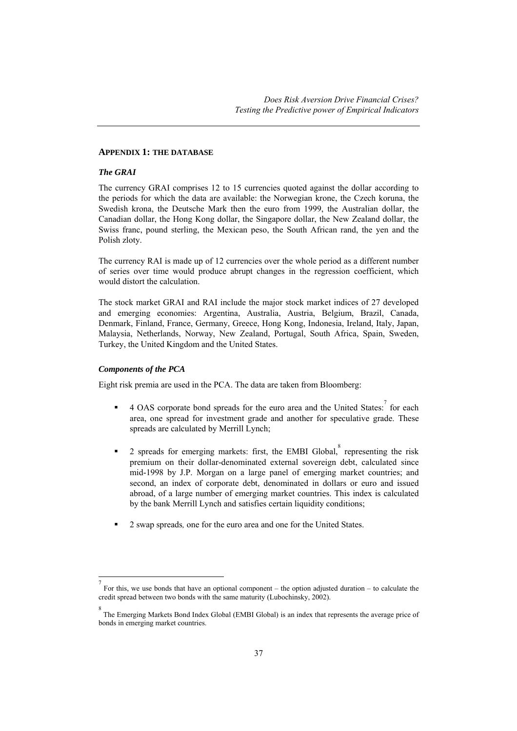#### **APPENDIX 1: THE DATABASE**

#### *The GRAI*

The currency GRAI comprises 12 to 15 currencies quoted against the dollar according to the periods for which the data are available: the Norwegian krone, the Czech koruna, the Swedish krona, the Deutsche Mark then the euro from 1999, the Australian dollar, the Canadian dollar, the Hong Kong dollar, the Singapore dollar, the New Zealand dollar, the Swiss franc, pound sterling, the Mexican peso, the South African rand, the yen and the Polish zloty.

The currency RAI is made up of 12 currencies over the whole period as a different number of series over time would produce abrupt changes in the regression coefficient, which would distort the calculation.

The stock market GRAI and RAI include the major stock market indices of 27 developed and emerging economies: Argentina, Australia, Austria, Belgium, Brazil, Canada, Denmark, Finland, France, Germany, Greece, Hong Kong, Indonesia, Ireland, Italy, Japan, Malaysia, Netherlands, Norway, New Zealand, Portugal, South Africa, Spain, Sweden, Turkey, the United Kingdom and the United States.

#### *Components of the PCA*

l

Eight risk premia are used in the PCA. The data are taken from Bloomberg:

- $\bullet$  4 OAS corporate bond spreads for the euro area and the United States:  $\frac{7}{1}$  for each area, one spread for investment grade and another for speculative grade. These spreads are calculated by Merrill Lynch;
- $\bullet$  2 spreads for emerging markets: first, the EMBI Global, representing the risk premium on their dollar-denominated external sovereign debt, calculated since mid-1998 by J.P. Morgan on a large panel of emerging market countries; and second, an index of corporate debt, denominated in dollars or euro and issued abroad, of a large number of emerging market countries. This index is calculated by the bank Merrill Lynch and satisfies certain liquidity conditions;
- 2 swap spreads*,* one for the euro area and one for the United States.

<sup>7</sup> For this, we use bonds that have an optional component – the option adjusted duration – to calculate the credit spread between two bonds with the same maturity (Lubochinsky, 2002).

<sup>8</sup> The Emerging Markets Bond Index Global (EMBI Global) is an index that represents the average price of bonds in emerging market countries.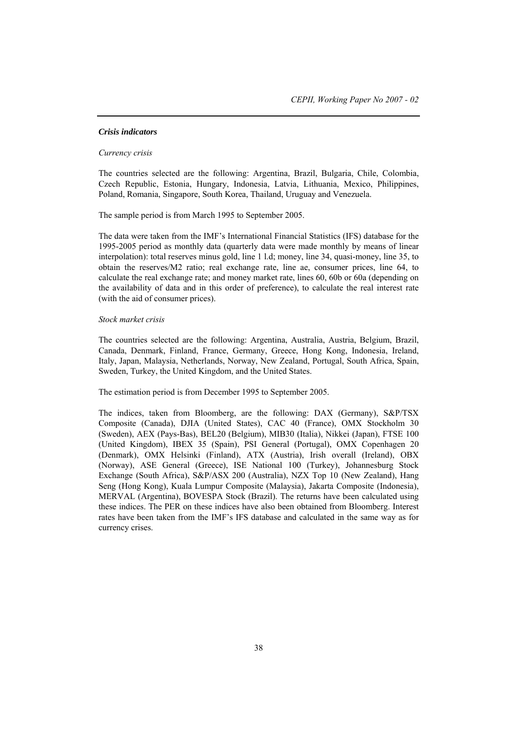#### *Crisis indicators*

#### *Currency crisis*

The countries selected are the following: Argentina, Brazil, Bulgaria, Chile, Colombia, Czech Republic, Estonia, Hungary, Indonesia, Latvia, Lithuania, Mexico, Philippines, Poland, Romania, Singapore, South Korea, Thailand, Uruguay and Venezuela.

The sample period is from March 1995 to September 2005.

The data were taken from the IMF's International Financial Statistics (IFS) database for the 1995-2005 period as monthly data (quarterly data were made monthly by means of linear interpolation): total reserves minus gold, line 1 l.d; money, line 34, quasi-money, line 35, to obtain the reserves/M2 ratio; real exchange rate, line ae, consumer prices, line 64, to calculate the real exchange rate; and money market rate, lines 60, 60b or 60a (depending on the availability of data and in this order of preference), to calculate the real interest rate (with the aid of consumer prices).

#### *Stock market crisis*

The countries selected are the following: Argentina, Australia, Austria, Belgium, Brazil, Canada, Denmark, Finland, France, Germany, Greece, Hong Kong, Indonesia, Ireland, Italy, Japan, Malaysia, Netherlands, Norway, New Zealand, Portugal, South Africa, Spain, Sweden, Turkey, the United Kingdom, and the United States.

The estimation period is from December 1995 to September 2005.

The indices, taken from Bloomberg, are the following: DAX (Germany), S&P/TSX Composite (Canada), DJIA (United States), CAC 40 (France), OMX Stockholm 30 (Sweden), AEX (Pays-Bas), BEL20 (Belgium), MIB30 (Italia), Nikkei (Japan), FTSE 100 (United Kingdom), IBEX 35 (Spain), PSI General (Portugal), OMX Copenhagen 20 (Denmark), OMX Helsinki (Finland), ATX (Austria), Irish overall (Ireland), OBX (Norway), ASE General (Greece), ISE National 100 (Turkey), Johannesburg Stock Exchange (South Africa), S&P/ASX 200 (Australia), NZX Top 10 (New Zealand), Hang Seng (Hong Kong), Kuala Lumpur Composite (Malaysia), Jakarta Composite (Indonesia), MERVAL (Argentina), BOVESPA Stock (Brazil). The returns have been calculated using these indices. The PER on these indices have also been obtained from Bloomberg. Interest rates have been taken from the IMF's IFS database and calculated in the same way as for currency crises.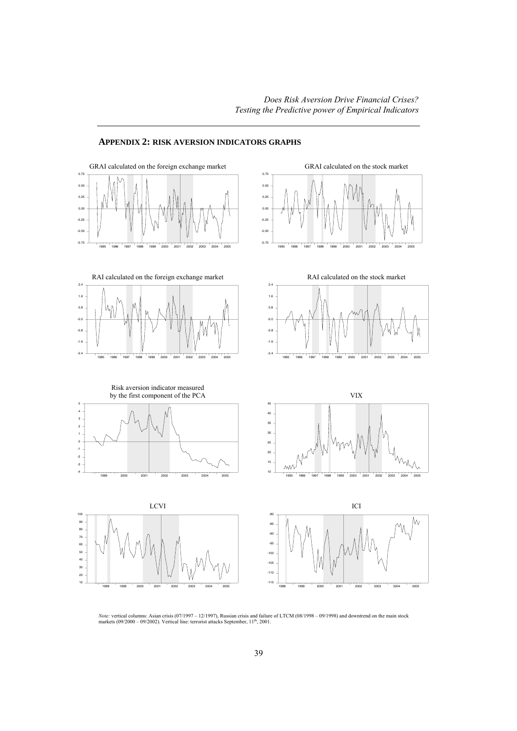

### **APPENDIX 2: RISK AVERSION INDICATORS GRAPHS**

*Note:* vertical columns: Asian crisis (07/1997 – 12/1997), Russian crisis and failure of LTCM (08/1998 – 09/1998) and downtrend on the main stock<br>markets (09/2000 – 09/2002). Vertical line: terrorist attacks September, 11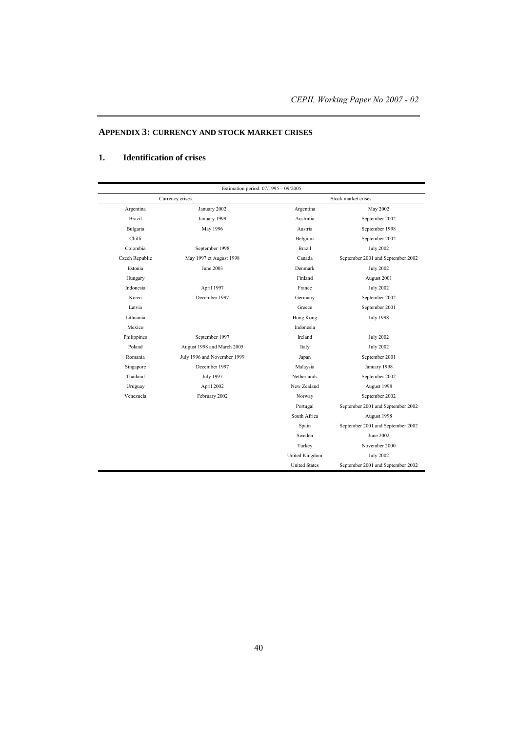## **APPENDIX 3: CURRENCY AND STOCK MARKET CRISES**

## **1. Identification of crises**

| Estimation period: 07/1995 - 09/2005 |                             |                      |                                   |  |
|--------------------------------------|-----------------------------|----------------------|-----------------------------------|--|
|                                      | Currency crises             |                      | Stock market crises               |  |
| Argentina                            | January 2002                | Argentina            | May 2002                          |  |
| <b>Brazil</b>                        | January 1999                | Australia            | September 2002                    |  |
| Bulgaria                             | May 1996                    | Austria              | September 1998                    |  |
| Chilli                               |                             | Belgium              | September 2002                    |  |
| Colombia                             | September 1998              | <b>Brazil</b>        | <b>July 2002</b>                  |  |
| Czech Republic                       | May 1997 et August 1998     | Canada               | September 2001 and September 2002 |  |
| Estonia                              | June 2003                   | Denmark              | <b>July 2002</b>                  |  |
| Hungary                              |                             | Finland              | August 2001                       |  |
| Indonesia                            | April 1997                  | France               | <b>July 2002</b>                  |  |
| Korea                                | December 1997               | Germany              | September 2002                    |  |
| Latvia                               |                             | Greece               | September 2001                    |  |
| Lithuania                            |                             | Hong Kong            | <b>July 1998</b>                  |  |
| Mexico                               |                             | Indonesia            |                                   |  |
| Philippines                          | September 1997              | Ireland              | <b>July 2002</b>                  |  |
| Poland                               | August 1998 and March 2005  | Italy                | <b>July 2002</b>                  |  |
| Romania                              | July 1996 and November 1999 | Japan                | September 2001                    |  |
| Singapore                            | December 1997               | Malaysia             | January 1998                      |  |
| Thailand                             | <b>July 1997</b>            | Netherlands          | September 2002                    |  |
| Uruguay                              | April 2002                  | New Zealand          | August 1998                       |  |
| Venezuela                            | February 2002               | Norway               | September 2002                    |  |
|                                      |                             | Portugal             | September 2001 and September 2002 |  |
|                                      |                             | South Africa         | August 1998                       |  |
|                                      |                             | Spain                | September 2001 and September 2002 |  |
|                                      |                             | Sweden               | June 2002                         |  |
|                                      |                             | Turkey               | November 2000                     |  |
|                                      |                             | United Kingdom       | <b>July 2002</b>                  |  |
|                                      |                             | <b>United States</b> | September 2001 and September 2002 |  |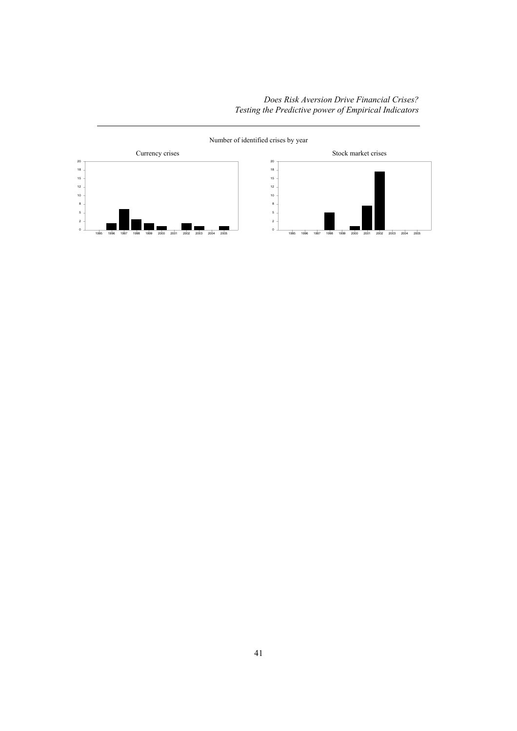*Does Risk Aversion Drive Financial Crises? Testing the Predictive power of Empirical Indicators*



Number of identified crises by year

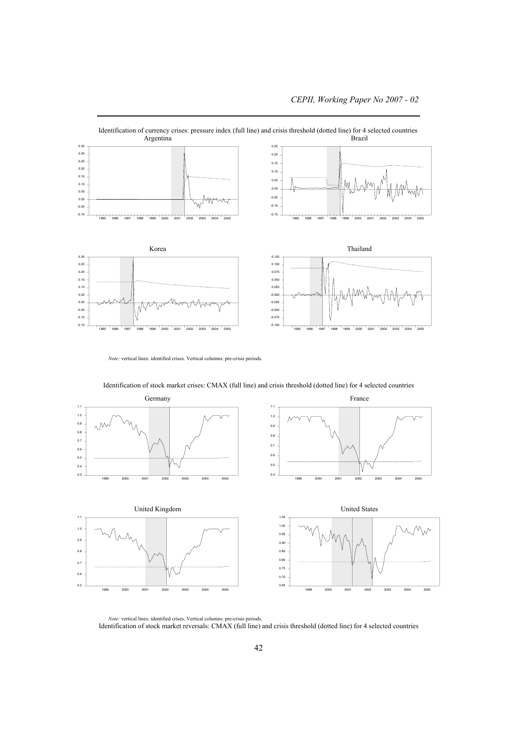

*Note:* vertical lines: identified crises. Vertical columns: pre-crisis periods.



#### Identification of stock market crises: CMAX (full line) and crisis threshold (dotted line) for 4 selected countries

*Note:* vertical lines: identified crises. Vertical columns: pre-crisis periods. Identification of stock market reversals: CMAX (full line) and crisis threshold (dotted line) for 4 selected countries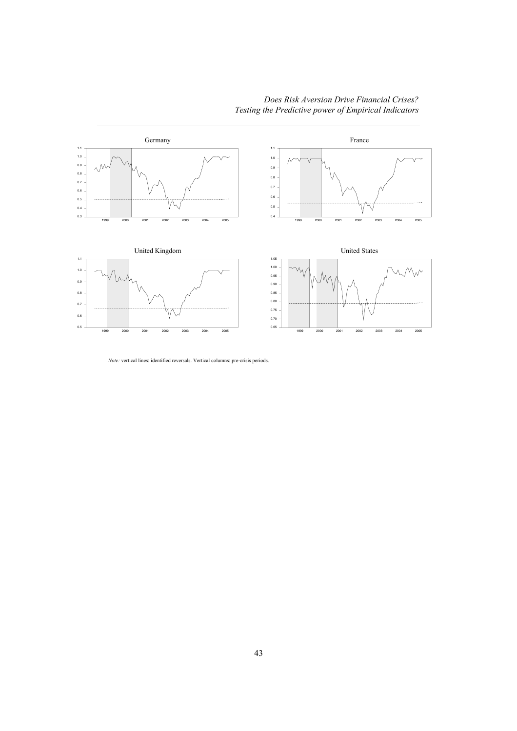

*Does Risk Aversion Drive Financial Crises? Testing the Predictive power of Empirical Indicators*

*Note:* vertical lines: identified reversals. Vertical columns: pre-crisis periods.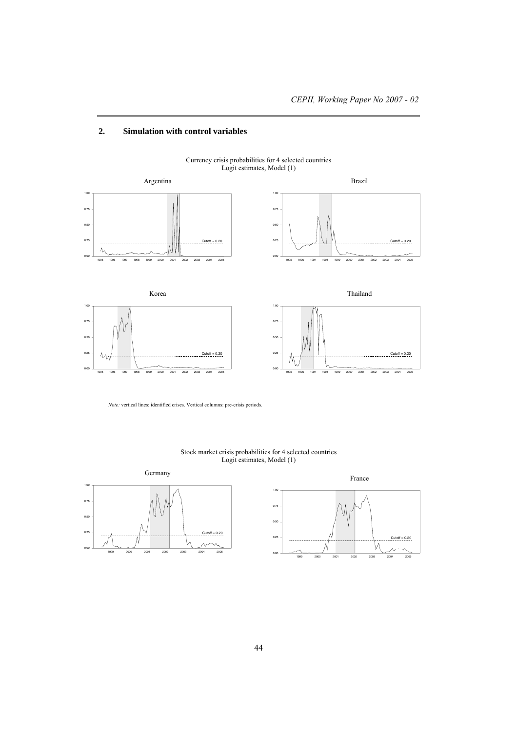

## **2. Simulation with control variables**

*Note:* vertical lines: identified crises. Vertical columns: pre-crisis periods.



Stock market crisis probabilities for 4 selected countries Logit estimates, Model (1)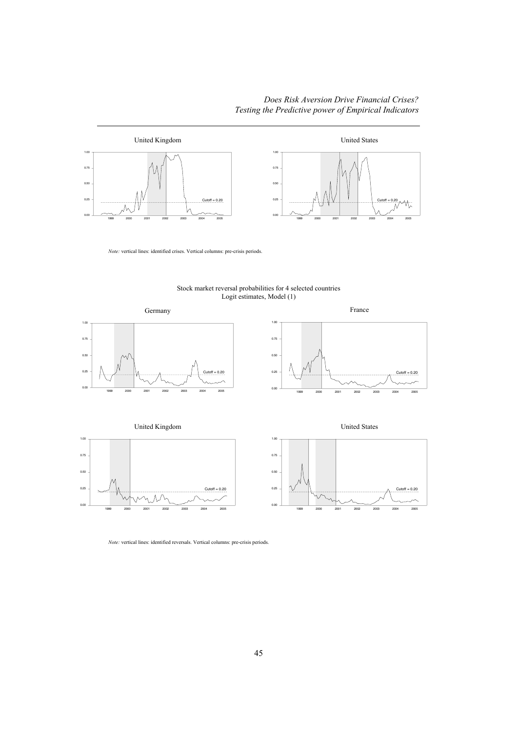

*Note:* vertical lines: identified crises. Vertical columns: pre-crisis periods.





*Note:* vertical lines: identified reversals. Vertical columns: pre-crisis periods.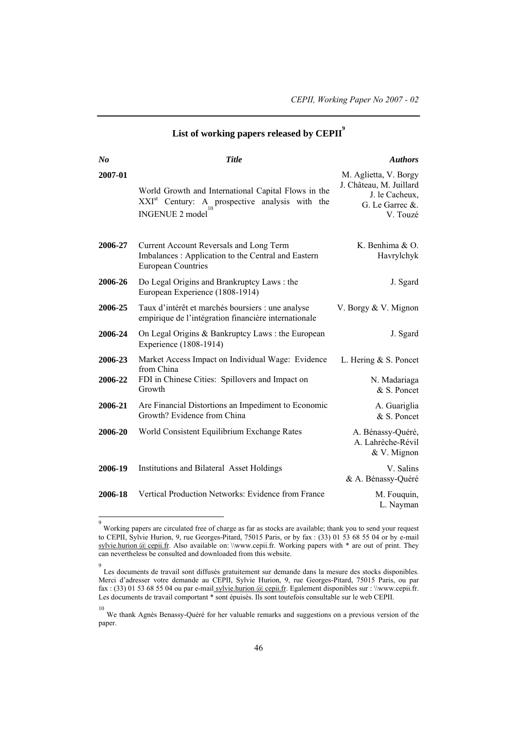| $N_{0}$            | <b>Title</b>                                                                                                                                | <b>Authors</b>                                                                                    |
|--------------------|---------------------------------------------------------------------------------------------------------------------------------------------|---------------------------------------------------------------------------------------------------|
| 2007-01            | World Growth and International Capital Flows in the<br>XXI <sup>st</sup> Century: A prospective analysis with the<br><b>INGENUE 2 model</b> | M. Aglietta, V. Borgy<br>J. Château, M. Juillard<br>J. le Cacheux,<br>G. Le Garrec &.<br>V. Touzé |
| 2006-27            | Current Account Reversals and Long Term<br>Imbalances: Application to the Central and Eastern<br><b>European Countries</b>                  | K. Benhima & O.<br>Havrylchyk                                                                     |
| 2006-26            | Do Legal Origins and Brankruptcy Laws: the<br>European Experience (1808-1914)                                                               | J. Sgard                                                                                          |
| 2006-25            | Taux d'intérêt et marchés boursiers : une analyse<br>empirique de l'intégration financière internationale                                   | V. Borgy & V. Mignon                                                                              |
| 2006-24            | On Legal Origins & Bankruptcy Laws : the European<br>Experience (1808-1914)                                                                 | J. Sgard                                                                                          |
| 2006-23<br>2006-22 | Market Access Impact on Individual Wage: Evidence<br>from China<br>FDI in Chinese Cities: Spillovers and Impact on<br>Growth                | L. Hering & S. Poncet<br>N. Madariaga                                                             |
| 2006-21            | Are Financial Distortions an Impediment to Economic<br>Growth? Evidence from China                                                          | & S. Poncet<br>A. Guariglia<br>& S. Poncet                                                        |
| 2006-20            | World Consistent Equilibrium Exchange Rates                                                                                                 | A. Bénassy-Quéré,<br>A. Lahrèche-Révil<br>$&V.$ Mignon                                            |
| 2006-19            | Institutions and Bilateral Asset Holdings                                                                                                   | V. Salins<br>& A. Bénassy-Quéré                                                                   |
| 2006-18            | Vertical Production Networks: Evidence from France                                                                                          | M. Fouquin,<br>L. Nayman                                                                          |

# **List of working papers released by CEPII<sup>9</sup>**

l

<sup>9</sup> Working papers are circulated free of charge as far as stocks are available; thank you to send your request to CEPII, Sylvie Hurion, 9, rue Georges-Pitard, 75015 Paris, or by fax : (33) 01 53 68 55 04 or by e-mail sylvie.hurion @ cepii.fr. Also available on: \\www.cepii.fr. Working papers with \* are out of print. They can nevertheless be consulted and downloaded from this website.

<sup>9</sup> Les documents de travail sont diffusés gratuitement sur demande dans la mesure des stocks disponibles. Merci d'adresser votre demande au CEPII, Sylvie Hurion, 9, rue Georges-Pitard, 75015 Paris, ou par fax : (33) 01 53 68 55 04 ou par e-mail sylvie.hurion @ cepii.fr. Egalement disponibles sur : \\www.cepii.fr. Les documents de travail comportant \* sont épuisés. Ils sont toutefois consultable sur le web CEPII.

<sup>10</sup> We thank Agnès Benassy-Quéré for her valuable remarks and suggestions on a previous version of the paper.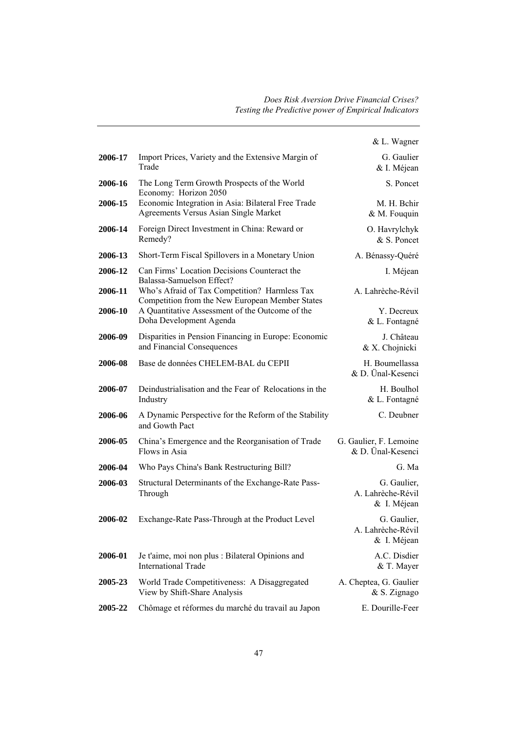|         |                                                                                                                      | & L. Wagner                                     |
|---------|----------------------------------------------------------------------------------------------------------------------|-------------------------------------------------|
| 2006-17 | Import Prices, Variety and the Extensive Margin of<br>Trade                                                          | G. Gaulier<br>& I. Méjean                       |
| 2006-16 | The Long Term Growth Prospects of the World                                                                          | S. Poncet                                       |
| 2006-15 | Economy: Horizon 2050<br>Economic Integration in Asia: Bilateral Free Trade<br>Agreements Versus Asian Single Market | M. H. Bchir<br>& M. Fouquin                     |
| 2006-14 | Foreign Direct Investment in China: Reward or<br>Remedy?                                                             | O. Havrylchyk<br>& S. Poncet                    |
| 2006-13 | Short-Term Fiscal Spillovers in a Monetary Union                                                                     | A. Bénassy-Quéré                                |
| 2006-12 | Can Firms' Location Decisions Counteract the<br>Balassa-Samuelson Effect?                                            | I. Méjean                                       |
| 2006-11 | Who's Afraid of Tax Competition? Harmless Tax<br>Competition from the New European Member States                     | A. Lahrèche-Révil                               |
| 2006-10 | A Quantitative Assessment of the Outcome of the<br>Doha Development Agenda                                           | Y. Decreux<br>& L. Fontagné                     |
| 2006-09 | Disparities in Pension Financing in Europe: Economic<br>and Financial Consequences                                   | J. Château<br>& X. Chojnicki                    |
| 2006-08 | Base de données CHELEM-BAL du CEPII                                                                                  | H. Boumellassa<br>& D. Ünal-Kesenci             |
| 2006-07 | Deindustrialisation and the Fear of Relocations in the<br>Industry                                                   | H. Boulhol<br>& L. Fontagné                     |
| 2006-06 | A Dynamic Perspective for the Reform of the Stability<br>and Gowth Pact                                              | C. Deubner                                      |
| 2006-05 | China's Emergence and the Reorganisation of Trade<br>Flows in Asia                                                   | G. Gaulier, F. Lemoine<br>& D. Ünal-Kesenci     |
| 2006-04 | Who Pays China's Bank Restructuring Bill?                                                                            | G. Ma                                           |
| 2006-03 | Structural Determinants of the Exchange-Rate Pass-<br>Through                                                        | G. Gaulier,<br>A. Lahrèche-Révil<br>& I. Méjean |
| 2006-02 | Exchange-Rate Pass-Through at the Product Level                                                                      | G. Gaulier,<br>A. Lahrèche-Révil<br>& I. Méjean |
| 2006-01 | Je t'aime, moi non plus : Bilateral Opinions and<br><b>International Trade</b>                                       | A.C. Disdier<br>& T. Mayer                      |
| 2005-23 | World Trade Competitiveness: A Disaggregated<br>View by Shift-Share Analysis                                         | A. Cheptea, G. Gaulier<br>& S. Zignago          |
| 2005-22 | Chômage et réformes du marché du travail au Japon                                                                    | E. Dourille-Feer                                |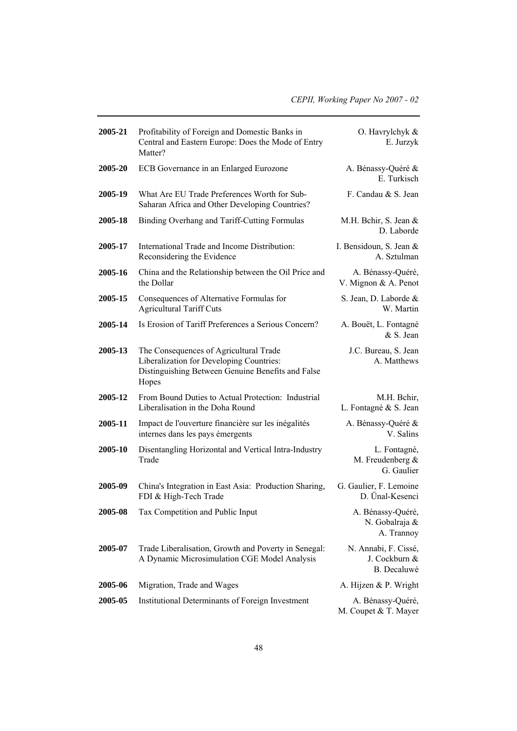| 2005-21 | Profitability of Foreign and Domestic Banks in<br>Central and Eastern Europe: Does the Mode of Entry<br>Matter?                                  | O. Havrylchyk $\&$<br>E. Jurzyk                      |
|---------|--------------------------------------------------------------------------------------------------------------------------------------------------|------------------------------------------------------|
| 2005-20 | ECB Governance in an Enlarged Eurozone                                                                                                           | A. Bénassy-Quéré &<br>E. Turkisch                    |
| 2005-19 | What Are EU Trade Preferences Worth for Sub-<br>Saharan Africa and Other Developing Countries?                                                   | F. Candau & S. Jean                                  |
| 2005-18 | Binding Overhang and Tariff-Cutting Formulas                                                                                                     | M.H. Bchir, S. Jean &<br>D. Laborde                  |
| 2005-17 | International Trade and Income Distribution:<br>Reconsidering the Evidence                                                                       | I. Bensidoun, S. Jean &<br>A. Sztulman               |
| 2005-16 | China and the Relationship between the Oil Price and<br>the Dollar                                                                               | A. Bénassy-Quéré,<br>V. Mignon & A. Penot            |
| 2005-15 | Consequences of Alternative Formulas for<br><b>Agricultural Tariff Cuts</b>                                                                      | S. Jean, D. Laborde &<br>W. Martin                   |
| 2005-14 | Is Erosion of Tariff Preferences a Serious Concern?                                                                                              | A. Bouët, L. Fontagné<br>& S. Jean                   |
| 2005-13 | The Consequences of Agricultural Trade<br>Liberalization for Developing Countries:<br>Distinguishing Between Genuine Benefits and False<br>Hopes | J.C. Bureau, S. Jean<br>A. Matthews                  |
| 2005-12 | From Bound Duties to Actual Protection: Industrial<br>Liberalisation in the Doha Round                                                           | M.H. Bchir,<br>L. Fontagné & S. Jean                 |
| 2005-11 | Impact de l'ouverture financière sur les inégalités<br>internes dans les pays émergents                                                          | A. Bénassy-Quéré &<br>V. Salins                      |
| 2005-10 | Disentangling Horizontal and Vertical Intra-Industry<br>Trade                                                                                    | L. Fontagné,<br>M. Freudenberg &<br>G. Gaulier       |
| 2005-09 | China's Integration in East Asia: Production Sharing,<br>FDI & High-Tech Trade                                                                   | G. Gaulier, F. Lemoine<br>D. Ünal-Kesenci            |
| 2005-08 | Tax Competition and Public Input                                                                                                                 | A. Bénassy-Quéré,<br>N. Gobalraja &<br>A. Trannoy    |
| 2005-07 | Trade Liberalisation, Growth and Poverty in Senegal:<br>A Dynamic Microsimulation CGE Model Analysis                                             | N. Annabi, F. Cissé,<br>J. Cockburn &<br>B. Decaluwé |
| 2005-06 | Migration, Trade and Wages                                                                                                                       | A. Hijzen & P. Wright                                |
| 2005-05 | Institutional Determinants of Foreign Investment                                                                                                 | A. Bénassy-Quéré,<br>M. Coupet & T. Mayer            |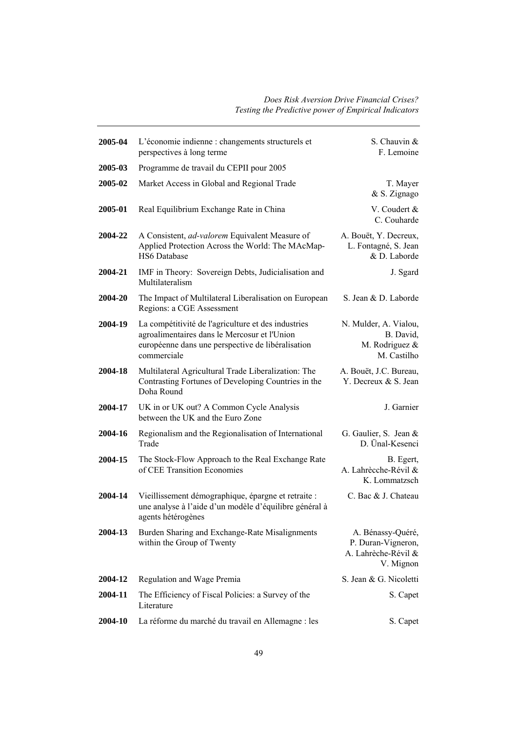| 2005-04 | L'économie indienne : changements structurels et<br>perspectives à long terme                                                                                           | S. Chauvin &<br>F. Lemoine                                                  |
|---------|-------------------------------------------------------------------------------------------------------------------------------------------------------------------------|-----------------------------------------------------------------------------|
| 2005-03 | Programme de travail du CEPII pour 2005                                                                                                                                 |                                                                             |
| 2005-02 | Market Access in Global and Regional Trade                                                                                                                              | T. Mayer<br>& S. Zignago                                                    |
| 2005-01 | Real Equilibrium Exchange Rate in China                                                                                                                                 | V. Coudert &<br>C. Couharde                                                 |
| 2004-22 | A Consistent, ad-valorem Equivalent Measure of<br>Applied Protection Across the World: The MAcMap-<br><b>HS6</b> Database                                               | A. Bouët, Y. Decreux,<br>L. Fontagné, S. Jean<br>& D. Laborde               |
| 2004-21 | IMF in Theory: Sovereign Debts, Judicialisation and<br>Multilateralism                                                                                                  | J. Sgard                                                                    |
| 2004-20 | The Impact of Multilateral Liberalisation on European<br>Regions: a CGE Assessment                                                                                      | S. Jean & D. Laborde                                                        |
| 2004-19 | La compétitivité de l'agriculture et des industries<br>agroalimentaires dans le Mercosur et l'Union<br>européenne dans une perspective de libéralisation<br>commerciale | N. Mulder, A. Vialou,<br>B. David,<br>M. Rodriguez &<br>M. Castilho         |
| 2004-18 | Multilateral Agricultural Trade Liberalization: The<br>Contrasting Fortunes of Developing Countries in the<br>Doha Round                                                | A. Bouët, J.C. Bureau,<br>Y. Decreux & S. Jean                              |
| 2004-17 | UK in or UK out? A Common Cycle Analysis<br>between the UK and the Euro Zone                                                                                            | J. Garnier                                                                  |
| 2004-16 | Regionalism and the Regionalisation of International<br>Trade                                                                                                           | G. Gaulier, S. Jean &<br>D. Ünal-Kesenci                                    |
| 2004-15 | The Stock-Flow Approach to the Real Exchange Rate<br>of CEE Transition Economies                                                                                        | B. Egert,<br>A. Lahrècche-Révil &<br>K. Lommatzsch                          |
| 2004-14 | Vieillissement démographique, épargne et retraite :<br>une analyse à l'aide d'un modèle d'équilibre général à<br>agents hétérogènes                                     | C. Bac & J. Chateau                                                         |
| 2004-13 | Burden Sharing and Exchange-Rate Misalignments<br>within the Group of Twenty                                                                                            | A. Bénassy-Quéré,<br>P. Duran-Vigneron,<br>A. Lahrèche-Révil &<br>V. Mignon |
| 2004-12 | Regulation and Wage Premia                                                                                                                                              | S. Jean & G. Nicoletti                                                      |
| 2004-11 | The Efficiency of Fiscal Policies: a Survey of the<br>Literature                                                                                                        | S. Capet                                                                    |
| 2004-10 | La réforme du marché du travail en Allemagne : les                                                                                                                      | S. Capet                                                                    |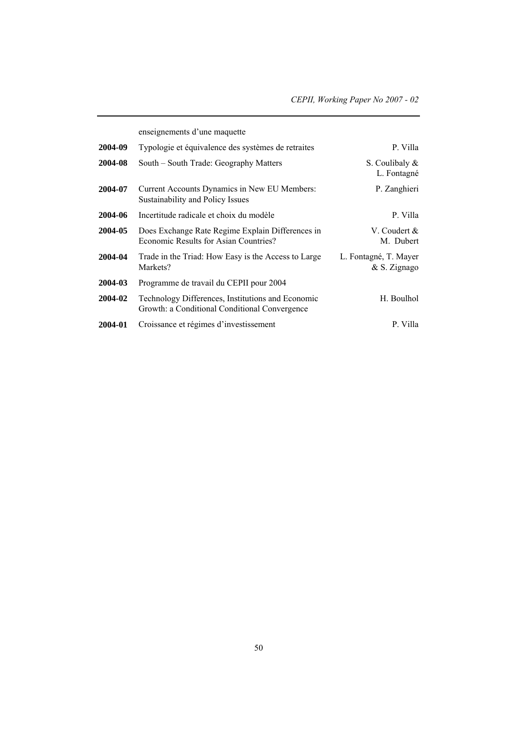| 2004-09 | Typologie et équivalence des systèmes de retraites                                                 | P. Villa                                |
|---------|----------------------------------------------------------------------------------------------------|-----------------------------------------|
| 2004-08 | South – South Trade: Geography Matters                                                             | S. Coulibaly &<br>L. Fontagné           |
| 2004-07 | Current Accounts Dynamics in New EU Members:<br>Sustainability and Policy Issues                   | P. Zanghieri                            |
| 2004-06 | Incertitude radicale et choix du modèle                                                            | P. Villa                                |
| 2004-05 | Does Exchange Rate Regime Explain Differences in<br>Economic Results for Asian Countries?          | V. Coudert $&$<br>M. Dubert             |
| 2004-04 | Trade in the Triad: How Easy is the Access to Large<br>Markets?                                    | L. Fontagné, T. Mayer<br>$&$ S. Zignago |
| 2004-03 | Programme de travail du CEPII pour 2004                                                            |                                         |
| 2004-02 | Technology Differences, Institutions and Economic<br>Growth: a Conditional Conditional Convergence | H. Boulhol                              |
| 2004-01 | Croissance et régimes d'investissement                                                             | P. Villa                                |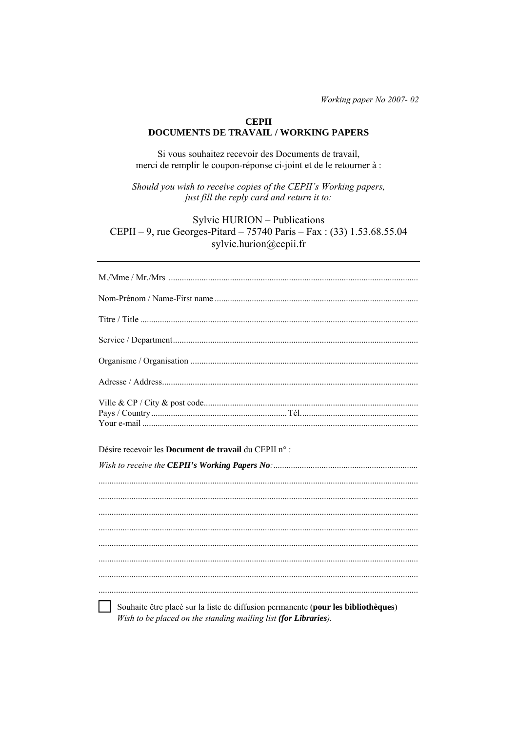## **CEPII** DOCUMENTS DE TRAVAIL / WORKING PAPERS

Si vous souhaitez recevoir des Documents de travail, merci de remplir le coupon-réponse ci-joint et de le retourner à :

Should you wish to receive copies of the CEPII's Working papers, just fill the reply card and return it to:

Sylvie HURION - Publications CEPII – 9, rue Georges-Pitard – 75740 Paris – Fax:  $(33)$  1.53.68.55.04 sylvie.hurion@cepii.fr

| Désire recevoir les <b>Document de travail</b> du CEPII n° : |  |  |  |
|--------------------------------------------------------------|--|--|--|
|                                                              |  |  |  |
|                                                              |  |  |  |
|                                                              |  |  |  |
|                                                              |  |  |  |
|                                                              |  |  |  |
|                                                              |  |  |  |
|                                                              |  |  |  |
|                                                              |  |  |  |
|                                                              |  |  |  |
|                                                              |  |  |  |